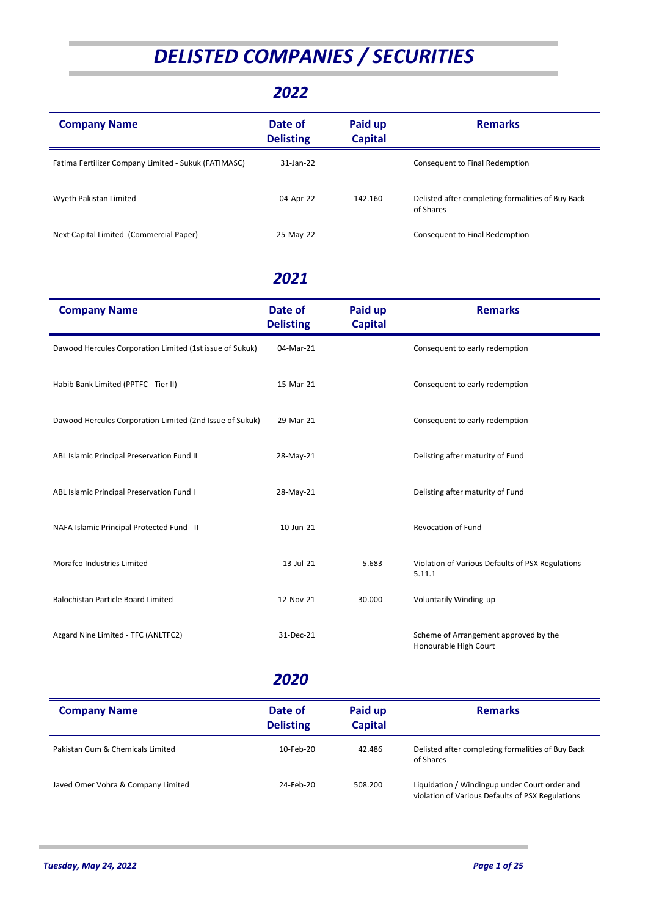# *DELISTED COMPANIES / SECURITIES*

#### *2022*

| <b>Company Name</b>                                  | Date of<br><b>Delisting</b> | Paid up<br><b>Capital</b> | <b>Remarks</b>                                                 |
|------------------------------------------------------|-----------------------------|---------------------------|----------------------------------------------------------------|
| Fatima Fertilizer Company Limited - Sukuk (FATIMASC) | 31-Jan-22                   |                           | Consequent to Final Redemption                                 |
| Wyeth Pakistan Limited                               | 04-Apr-22                   | 142.160                   | Delisted after completing formalities of Buy Back<br>of Shares |
| Next Capital Limited (Commercial Paper)              | 25-May-22                   |                           | Consequent to Final Redemption                                 |

#### *2021*

| <b>Company Name</b>                                      | Date of<br><b>Delisting</b> | Paid up<br><b>Capital</b> | <b>Remarks</b>                                                 |
|----------------------------------------------------------|-----------------------------|---------------------------|----------------------------------------------------------------|
| Dawood Hercules Corporation Limited (1st issue of Sukuk) | 04-Mar-21                   |                           | Consequent to early redemption                                 |
| Habib Bank Limited (PPTFC - Tier II)                     | 15-Mar-21                   |                           | Consequent to early redemption                                 |
| Dawood Hercules Corporation Limited (2nd Issue of Sukuk) | 29-Mar-21                   |                           | Consequent to early redemption                                 |
| ABL Islamic Principal Preservation Fund II               | 28-May-21                   |                           | Delisting after maturity of Fund                               |
| ABL Islamic Principal Preservation Fund I                | 28-May-21                   |                           | Delisting after maturity of Fund                               |
| NAFA Islamic Principal Protected Fund - II               | 10-Jun-21                   |                           | <b>Revocation of Fund</b>                                      |
| Morafco Industries Limited                               | 13-Jul-21                   | 5.683                     | Violation of Various Defaults of PSX Regulations<br>5.11.1     |
| Balochistan Particle Board Limited                       | 12-Nov-21                   | 30.000                    | Voluntarily Winding-up                                         |
| Azgard Nine Limited - TFC (ANLTFC2)                      | 31-Dec-21                   |                           | Scheme of Arrangement approved by the<br>Honourable High Court |

| <b>Company Name</b>                | Date of<br><b>Delisting</b> | Paid up<br><b>Capital</b> | <b>Remarks</b>                                                                                    |
|------------------------------------|-----------------------------|---------------------------|---------------------------------------------------------------------------------------------------|
| Pakistan Gum & Chemicals Limited   | 10-Feb-20                   | 42.486                    | Delisted after completing formalities of Buy Back<br>of Shares                                    |
| Javed Omer Vohra & Company Limited | 24-Feb-20                   | 508.200                   | Liquidation / Windingup under Court order and<br>violation of Various Defaults of PSX Regulations |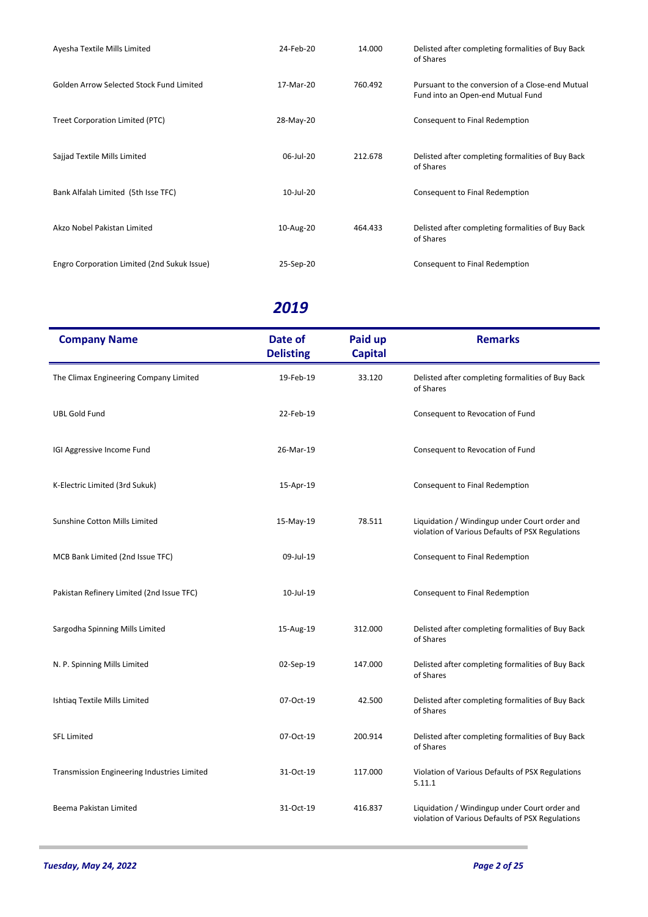| Ayesha Textile Mills Limited                | 24-Feb-20 | 14.000  | Delisted after completing formalities of Buy Back<br>of Shares                        |
|---------------------------------------------|-----------|---------|---------------------------------------------------------------------------------------|
| Golden Arrow Selected Stock Fund Limited    | 17-Mar-20 | 760.492 | Pursuant to the conversion of a Close-end Mutual<br>Fund into an Open-end Mutual Fund |
| <b>Treet Corporation Limited (PTC)</b>      | 28-May-20 |         | Consequent to Final Redemption                                                        |
| Sajjad Textile Mills Limited                | 06-Jul-20 | 212.678 | Delisted after completing formalities of Buy Back<br>of Shares                        |
| Bank Alfalah Limited (5th Isse TFC)         | 10-Jul-20 |         | Consequent to Final Redemption                                                        |
| Akzo Nobel Pakistan Limited                 | 10-Aug-20 | 464.433 | Delisted after completing formalities of Buy Back<br>of Shares                        |
| Engro Corporation Limited (2nd Sukuk Issue) | 25-Sep-20 |         | Consequent to Final Redemption                                                        |

| <b>Company Name</b>                         | Date of<br><b>Delisting</b> | Paid up<br><b>Capital</b> | <b>Remarks</b>                                                                                    |
|---------------------------------------------|-----------------------------|---------------------------|---------------------------------------------------------------------------------------------------|
| The Climax Engineering Company Limited      | 19-Feb-19                   | 33.120                    | Delisted after completing formalities of Buy Back<br>of Shares                                    |
| <b>UBL Gold Fund</b>                        | 22-Feb-19                   |                           | Consequent to Revocation of Fund                                                                  |
| IGI Aggressive Income Fund                  | 26-Mar-19                   |                           | Consequent to Revocation of Fund                                                                  |
| K-Electric Limited (3rd Sukuk)              | 15-Apr-19                   |                           | Consequent to Final Redemption                                                                    |
| Sunshine Cotton Mills Limited               | 15-May-19                   | 78.511                    | Liquidation / Windingup under Court order and<br>violation of Various Defaults of PSX Regulations |
| MCB Bank Limited (2nd Issue TFC)            | 09-Jul-19                   |                           | Consequent to Final Redemption                                                                    |
| Pakistan Refinery Limited (2nd Issue TFC)   | 10-Jul-19                   |                           | Consequent to Final Redemption                                                                    |
| Sargodha Spinning Mills Limited             | 15-Aug-19                   | 312.000                   | Delisted after completing formalities of Buy Back<br>of Shares                                    |
| N. P. Spinning Mills Limited                | 02-Sep-19                   | 147.000                   | Delisted after completing formalities of Buy Back<br>of Shares                                    |
| Ishtiag Textile Mills Limited               | 07-Oct-19                   | 42.500                    | Delisted after completing formalities of Buy Back<br>of Shares                                    |
| <b>SFL Limited</b>                          | 07-Oct-19                   | 200.914                   | Delisted after completing formalities of Buy Back<br>of Shares                                    |
| Transmission Engineering Industries Limited | 31-Oct-19                   | 117.000                   | Violation of Various Defaults of PSX Regulations<br>5.11.1                                        |
| Beema Pakistan Limited                      | 31-Oct-19                   | 416.837                   | Liquidation / Windingup under Court order and<br>violation of Various Defaults of PSX Regulations |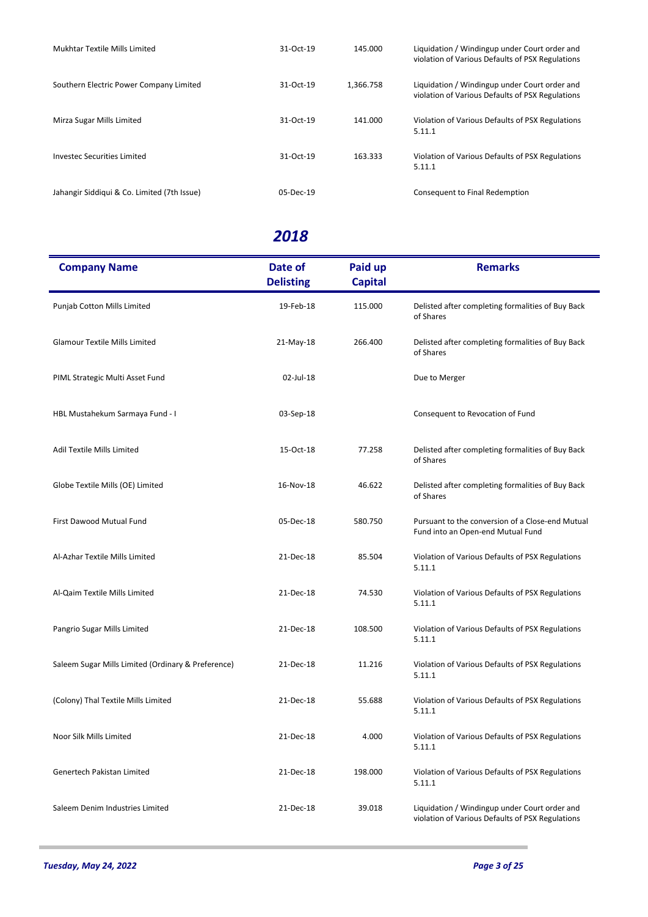| Mukhtar Textile Mills Limited               | 31-Oct-19 | 145.000   | Liquidation / Windingup under Court order and<br>violation of Various Defaults of PSX Regulations |
|---------------------------------------------|-----------|-----------|---------------------------------------------------------------------------------------------------|
| Southern Electric Power Company Limited     | 31-Oct-19 | 1.366.758 | Liquidation / Windingup under Court order and<br>violation of Various Defaults of PSX Regulations |
| Mirza Sugar Mills Limited                   | 31-Oct-19 | 141.000   | Violation of Various Defaults of PSX Regulations<br>5.11.1                                        |
| Investec Securities Limited                 | 31-Oct-19 | 163.333   | Violation of Various Defaults of PSX Regulations<br>5.11.1                                        |
| Jahangir Siddiqui & Co. Limited (7th Issue) | 05-Dec-19 |           | Consequent to Final Redemption                                                                    |

| <b>Company Name</b>                                | Date of<br><b>Delisting</b> | Paid up<br><b>Capital</b> | <b>Remarks</b>                                                                                    |
|----------------------------------------------------|-----------------------------|---------------------------|---------------------------------------------------------------------------------------------------|
| Punjab Cotton Mills Limited                        | 19-Feb-18                   | 115.000                   | Delisted after completing formalities of Buy Back<br>of Shares                                    |
| <b>Glamour Textile Mills Limited</b>               | 21-May-18                   | 266.400                   | Delisted after completing formalities of Buy Back<br>of Shares                                    |
| PIML Strategic Multi Asset Fund                    | 02-Jul-18                   |                           | Due to Merger                                                                                     |
| HBL Mustahekum Sarmaya Fund - I                    | 03-Sep-18                   |                           | Consequent to Revocation of Fund                                                                  |
| Adil Textile Mills Limited                         | 15-Oct-18                   | 77.258                    | Delisted after completing formalities of Buy Back<br>of Shares                                    |
| Globe Textile Mills (OE) Limited                   | 16-Nov-18                   | 46.622                    | Delisted after completing formalities of Buy Back<br>of Shares                                    |
| First Dawood Mutual Fund                           | 05-Dec-18                   | 580.750                   | Pursuant to the conversion of a Close-end Mutual<br>Fund into an Open-end Mutual Fund             |
| Al-Azhar Textile Mills Limited                     | 21-Dec-18                   | 85.504                    | Violation of Various Defaults of PSX Regulations<br>5.11.1                                        |
| Al-Qaim Textile Mills Limited                      | 21-Dec-18                   | 74.530                    | Violation of Various Defaults of PSX Regulations<br>5.11.1                                        |
| Pangrio Sugar Mills Limited                        | 21-Dec-18                   | 108.500                   | Violation of Various Defaults of PSX Regulations<br>5.11.1                                        |
| Saleem Sugar Mills Limited (Ordinary & Preference) | 21-Dec-18                   | 11.216                    | Violation of Various Defaults of PSX Regulations<br>5.11.1                                        |
| (Colony) Thal Textile Mills Limited                | 21-Dec-18                   | 55.688                    | Violation of Various Defaults of PSX Regulations<br>5.11.1                                        |
| Noor Silk Mills Limited                            | 21-Dec-18                   | 4.000                     | Violation of Various Defaults of PSX Regulations<br>5.11.1                                        |
| Genertech Pakistan Limited                         | 21-Dec-18                   | 198.000                   | Violation of Various Defaults of PSX Regulations<br>5.11.1                                        |
| Saleem Denim Industries Limited                    | 21-Dec-18                   | 39.018                    | Liquidation / Windingup under Court order and<br>violation of Various Defaults of PSX Regulations |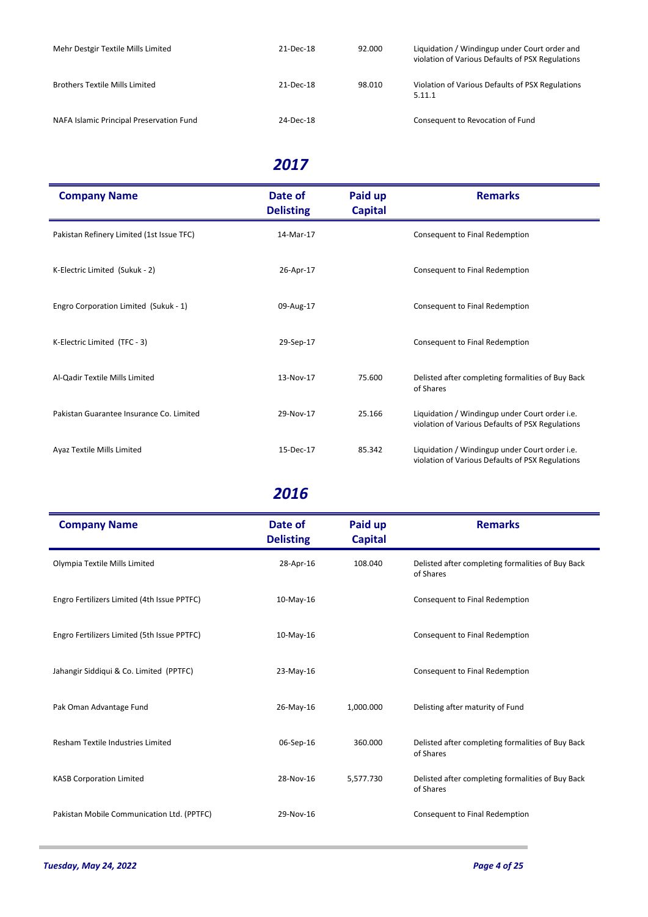| Mehr Destgir Textile Mills Limited       | 21-Dec-18 | 92.000 | Liquidation / Windingup under Court order and<br>violation of Various Defaults of PSX Regulations |
|------------------------------------------|-----------|--------|---------------------------------------------------------------------------------------------------|
| <b>Brothers Textile Mills Limited</b>    | 21-Dec-18 | 98.010 | Violation of Various Defaults of PSX Regulations<br>5.11.1                                        |
| NAFA Islamic Principal Preservation Fund | 24-Dec-18 |        | Consequent to Revocation of Fund                                                                  |

| <b>Company Name</b>                       | Date of<br><b>Delisting</b> | Paid up<br><b>Capital</b> | <b>Remarks</b>                                                                                     |
|-------------------------------------------|-----------------------------|---------------------------|----------------------------------------------------------------------------------------------------|
| Pakistan Refinery Limited (1st Issue TFC) | 14-Mar-17                   |                           | Consequent to Final Redemption                                                                     |
| K-Electric Limited (Sukuk - 2)            | 26-Apr-17                   |                           | Consequent to Final Redemption                                                                     |
| Engro Corporation Limited (Sukuk - 1)     | 09-Aug-17                   |                           | Consequent to Final Redemption                                                                     |
| K-Electric Limited (TFC - 3)              | 29-Sep-17                   |                           | Consequent to Final Redemption                                                                     |
| Al-Qadir Textile Mills Limited            | 13-Nov-17                   | 75.600                    | Delisted after completing formalities of Buy Back<br>of Shares                                     |
| Pakistan Guarantee Insurance Co. Limited  | 29-Nov-17                   | 25.166                    | Liquidation / Windingup under Court order i.e.<br>violation of Various Defaults of PSX Regulations |
| Ayaz Textile Mills Limited                | 15-Dec-17                   | 85.342                    | Liquidation / Windingup under Court order i.e.<br>violation of Various Defaults of PSX Regulations |

| <b>Company Name</b>                         | Date of<br><b>Delisting</b> | Paid up<br><b>Capital</b> | <b>Remarks</b>                                                 |
|---------------------------------------------|-----------------------------|---------------------------|----------------------------------------------------------------|
| Olympia Textile Mills Limited               | 28-Apr-16                   | 108.040                   | Delisted after completing formalities of Buy Back<br>of Shares |
| Engro Fertilizers Limited (4th Issue PPTFC) | $10-May-16$                 |                           | Consequent to Final Redemption                                 |
| Engro Fertilizers Limited (5th Issue PPTFC) | $10-May-16$                 |                           | Consequent to Final Redemption                                 |
| Jahangir Siddiqui & Co. Limited (PPTFC)     | 23-May-16                   |                           | Consequent to Final Redemption                                 |
| Pak Oman Advantage Fund                     | 26-May-16                   | 1,000.000                 | Delisting after maturity of Fund                               |
| Resham Textile Industries Limited           | 06-Sep-16                   | 360.000                   | Delisted after completing formalities of Buy Back<br>of Shares |
| <b>KASB Corporation Limited</b>             | 28-Nov-16                   | 5,577.730                 | Delisted after completing formalities of Buy Back<br>of Shares |
| Pakistan Mobile Communication Ltd. (PPTFC)  | 29-Nov-16                   |                           | Consequent to Final Redemption                                 |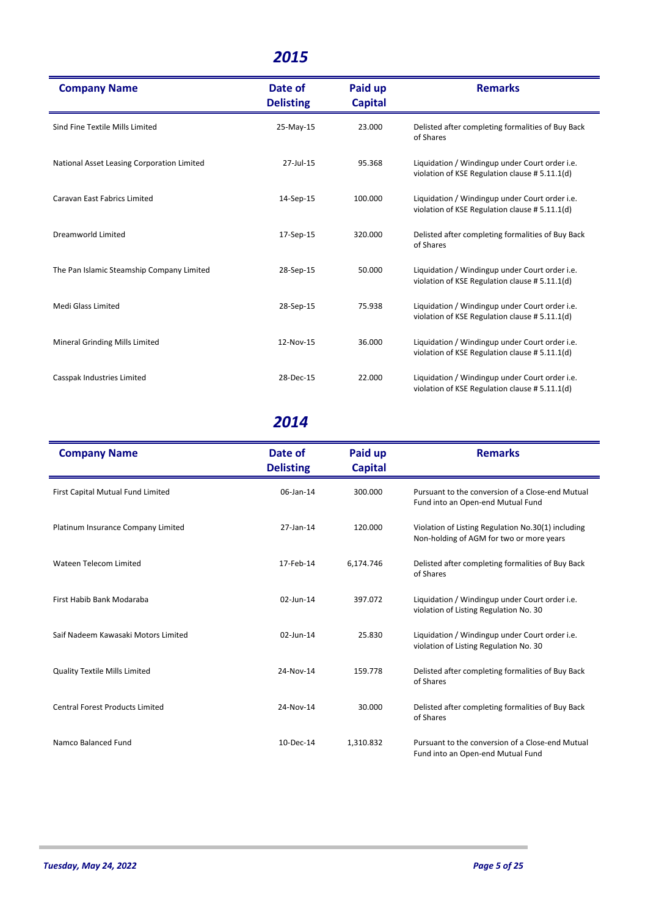| <b>Company Name</b>                        | Date of<br><b>Delisting</b> | Paid up<br><b>Capital</b> | <b>Remarks</b>                                                                                   |
|--------------------------------------------|-----------------------------|---------------------------|--------------------------------------------------------------------------------------------------|
| Sind Fine Textile Mills Limited            | 25-May-15                   | 23.000                    | Delisted after completing formalities of Buy Back<br>of Shares                                   |
| National Asset Leasing Corporation Limited | 27-Jul-15                   | 95.368                    | Liquidation / Windingup under Court order i.e.<br>violation of KSE Regulation clause #5.11.1(d)  |
| <b>Caravan East Fabrics Limited</b>        | 14-Sep-15                   | 100.000                   | Liquidation / Windingup under Court order i.e.<br>violation of KSE Regulation clause # 5.11.1(d) |
| <b>Dreamworld Limited</b>                  | 17-Sep-15                   | 320.000                   | Delisted after completing formalities of Buy Back<br>of Shares                                   |
| The Pan Islamic Steamship Company Limited  | 28-Sep-15                   | 50.000                    | Liquidation / Windingup under Court order i.e.<br>violation of KSE Regulation clause # 5.11.1(d) |
| Medi Glass Limited                         | 28-Sep-15                   | 75.938                    | Liquidation / Windingup under Court order i.e.<br>violation of KSE Regulation clause #5.11.1(d)  |
| Mineral Grinding Mills Limited             | 12-Nov-15                   | 36.000                    | Liquidation / Windingup under Court order i.e.<br>violation of KSE Regulation clause # 5.11.1(d) |
| Casspak Industries Limited                 | 28-Dec-15                   | 22.000                    | Liquidation / Windingup under Court order i.e.<br>violation of KSE Regulation clause #5.11.1(d)  |

| <b>Company Name</b>                    | Date of<br><b>Delisting</b> | Paid up<br><b>Capital</b> | <b>Remarks</b>                                                                                 |
|----------------------------------------|-----------------------------|---------------------------|------------------------------------------------------------------------------------------------|
| First Capital Mutual Fund Limited      | 06-Jan-14                   | 300.000                   | Pursuant to the conversion of a Close-end Mutual<br>Fund into an Open-end Mutual Fund          |
| Platinum Insurance Company Limited     | 27-Jan-14                   | 120.000                   | Violation of Listing Regulation No.30(1) including<br>Non-holding of AGM for two or more years |
| Wateen Telecom Limited                 | 17-Feb-14                   | 6,174.746                 | Delisted after completing formalities of Buy Back<br>of Shares                                 |
| First Habib Bank Modaraba              | 02-Jun-14                   | 397.072                   | Liquidation / Windingup under Court order i.e.<br>violation of Listing Regulation No. 30       |
| Saif Nadeem Kawasaki Motors Limited    | 02-Jun-14                   | 25.830                    | Liquidation / Windingup under Court order i.e.<br>violation of Listing Regulation No. 30       |
| <b>Quality Textile Mills Limited</b>   | 24-Nov-14                   | 159.778                   | Delisted after completing formalities of Buy Back<br>of Shares                                 |
| <b>Central Forest Products Limited</b> | 24-Nov-14                   | 30.000                    | Delisted after completing formalities of Buy Back<br>of Shares                                 |
| Namco Balanced Fund                    | 10-Dec-14                   | 1,310.832                 | Pursuant to the conversion of a Close-end Mutual<br>Fund into an Open-end Mutual Fund          |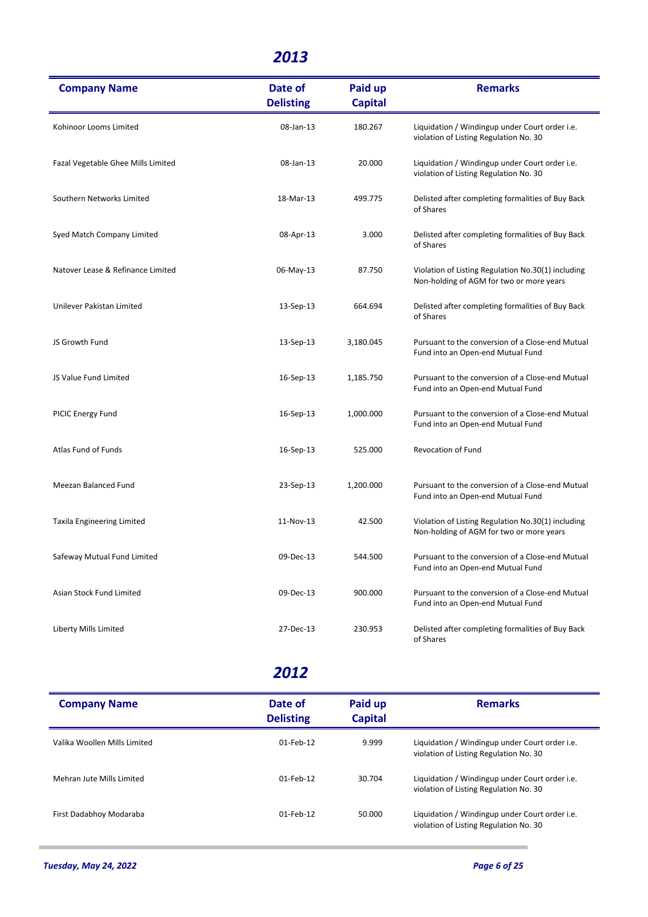| <b>Company Name</b>                | Date of<br><b>Delisting</b> | Paid up<br><b>Capital</b> | <b>Remarks</b>                                                                                 |
|------------------------------------|-----------------------------|---------------------------|------------------------------------------------------------------------------------------------|
| Kohinoor Looms Limited             | 08-Jan-13                   | 180.267                   | Liquidation / Windingup under Court order i.e.<br>violation of Listing Regulation No. 30       |
| Fazal Vegetable Ghee Mills Limited | 08-Jan-13                   | 20.000                    | Liquidation / Windingup under Court order i.e.<br>violation of Listing Regulation No. 30       |
| Southern Networks Limited          | 18-Mar-13                   | 499.775                   | Delisted after completing formalities of Buy Back<br>of Shares                                 |
| Syed Match Company Limited         | 08-Apr-13                   | 3.000                     | Delisted after completing formalities of Buy Back<br>of Shares                                 |
| Natover Lease & Refinance Limited  | 06-May-13                   | 87.750                    | Violation of Listing Regulation No.30(1) including<br>Non-holding of AGM for two or more years |
| Unilever Pakistan Limited          | 13-Sep-13                   | 664.694                   | Delisted after completing formalities of Buy Back<br>of Shares                                 |
| JS Growth Fund                     | 13-Sep-13                   | 3,180.045                 | Pursuant to the conversion of a Close-end Mutual<br>Fund into an Open-end Mutual Fund          |
| JS Value Fund Limited              | 16-Sep-13                   | 1,185.750                 | Pursuant to the conversion of a Close-end Mutual<br>Fund into an Open-end Mutual Fund          |
| PICIC Energy Fund                  | 16-Sep-13                   | 1,000.000                 | Pursuant to the conversion of a Close-end Mutual<br>Fund into an Open-end Mutual Fund          |
| Atlas Fund of Funds                | 16-Sep-13                   | 525.000                   | <b>Revocation of Fund</b>                                                                      |
| Meezan Balanced Fund               | 23-Sep-13                   | 1,200.000                 | Pursuant to the conversion of a Close-end Mutual<br>Fund into an Open-end Mutual Fund          |
| <b>Taxila Engineering Limited</b>  | 11-Nov-13                   | 42.500                    | Violation of Listing Regulation No.30(1) including<br>Non-holding of AGM for two or more years |
| Safeway Mutual Fund Limited        | 09-Dec-13                   | 544.500                   | Pursuant to the conversion of a Close-end Mutual<br>Fund into an Open-end Mutual Fund          |
| Asian Stock Fund Limited           | 09-Dec-13                   | 900.000                   | Pursuant to the conversion of a Close-end Mutual<br>Fund into an Open-end Mutual Fund          |
| Liberty Mills Limited              | 27-Dec-13                   | 230.953                   | Delisted after completing formalities of Buy Back<br>of Shares                                 |

| <b>Company Name</b>          | Date of<br><b>Delisting</b> | Paid up<br><b>Capital</b> | <b>Remarks</b>                                                                           |
|------------------------------|-----------------------------|---------------------------|------------------------------------------------------------------------------------------|
| Valika Woollen Mills Limited | 01-Feb-12                   | 9.999                     | Liquidation / Windingup under Court order i.e.<br>violation of Listing Regulation No. 30 |
| Mehran Jute Mills Limited    | $01$ -Feb-12                | 30.704                    | Liquidation / Windingup under Court order i.e.<br>violation of Listing Regulation No. 30 |
| First Dadabhoy Modaraba      | 01-Feb-12                   | 50.000                    | Liquidation / Windingup under Court order i.e.<br>violation of Listing Regulation No. 30 |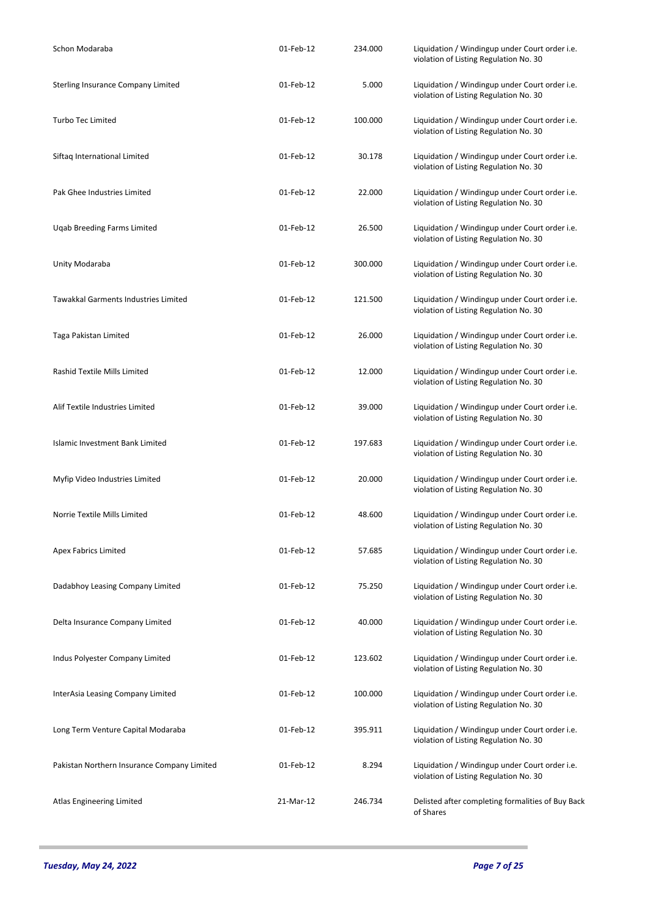| Schon Modaraba                              | 01-Feb-12 | 234.000 | Liquidation / Windingup under Court order i.e.<br>violation of Listing Regulation No. 30 |
|---------------------------------------------|-----------|---------|------------------------------------------------------------------------------------------|
| Sterling Insurance Company Limited          | 01-Feb-12 | 5.000   | Liquidation / Windingup under Court order i.e.<br>violation of Listing Regulation No. 30 |
| <b>Turbo Tec Limited</b>                    | 01-Feb-12 | 100.000 | Liquidation / Windingup under Court order i.e.<br>violation of Listing Regulation No. 30 |
| Siftag International Limited                | 01-Feb-12 | 30.178  | Liquidation / Windingup under Court order i.e.<br>violation of Listing Regulation No. 30 |
| Pak Ghee Industries Limited                 | 01-Feb-12 | 22.000  | Liquidation / Windingup under Court order i.e.<br>violation of Listing Regulation No. 30 |
| Uqab Breeding Farms Limited                 | 01-Feb-12 | 26.500  | Liquidation / Windingup under Court order i.e.<br>violation of Listing Regulation No. 30 |
| Unity Modaraba                              | 01-Feb-12 | 300.000 | Liquidation / Windingup under Court order i.e.<br>violation of Listing Regulation No. 30 |
| Tawakkal Garments Industries Limited        | 01-Feb-12 | 121.500 | Liquidation / Windingup under Court order i.e.<br>violation of Listing Regulation No. 30 |
| Taga Pakistan Limited                       | 01-Feb-12 | 26.000  | Liquidation / Windingup under Court order i.e.<br>violation of Listing Regulation No. 30 |
| Rashid Textile Mills Limited                | 01-Feb-12 | 12.000  | Liquidation / Windingup under Court order i.e.<br>violation of Listing Regulation No. 30 |
| Alif Textile Industries Limited             | 01-Feb-12 | 39.000  | Liquidation / Windingup under Court order i.e.<br>violation of Listing Regulation No. 30 |
| Islamic Investment Bank Limited             | 01-Feb-12 | 197.683 | Liquidation / Windingup under Court order i.e.<br>violation of Listing Regulation No. 30 |
| Myfip Video Industries Limited              | 01-Feb-12 | 20.000  | Liquidation / Windingup under Court order i.e.<br>violation of Listing Regulation No. 30 |
| Norrie Textile Mills Limited                | 01-Feb-12 | 48.600  | Liquidation / Windingup under Court order i.e.<br>violation of Listing Regulation No. 30 |
| <b>Apex Fabrics Limited</b>                 | 01-Feb-12 | 57.685  | Liquidation / Windingup under Court order i.e.<br>violation of Listing Regulation No. 30 |
| Dadabhoy Leasing Company Limited            | 01-Feb-12 | 75.250  | Liquidation / Windingup under Court order i.e.<br>violation of Listing Regulation No. 30 |
| Delta Insurance Company Limited             | 01-Feb-12 | 40.000  | Liquidation / Windingup under Court order i.e.<br>violation of Listing Regulation No. 30 |
| Indus Polyester Company Limited             | 01-Feb-12 | 123.602 | Liquidation / Windingup under Court order i.e.<br>violation of Listing Regulation No. 30 |
| InterAsia Leasing Company Limited           | 01-Feb-12 | 100.000 | Liquidation / Windingup under Court order i.e.<br>violation of Listing Regulation No. 30 |
| Long Term Venture Capital Modaraba          | 01-Feb-12 | 395.911 | Liquidation / Windingup under Court order i.e.<br>violation of Listing Regulation No. 30 |
| Pakistan Northern Insurance Company Limited | 01-Feb-12 | 8.294   | Liquidation / Windingup under Court order i.e.<br>violation of Listing Regulation No. 30 |
| Atlas Engineering Limited                   | 21-Mar-12 | 246.734 | Delisted after completing formalities of Buy Back<br>of Shares                           |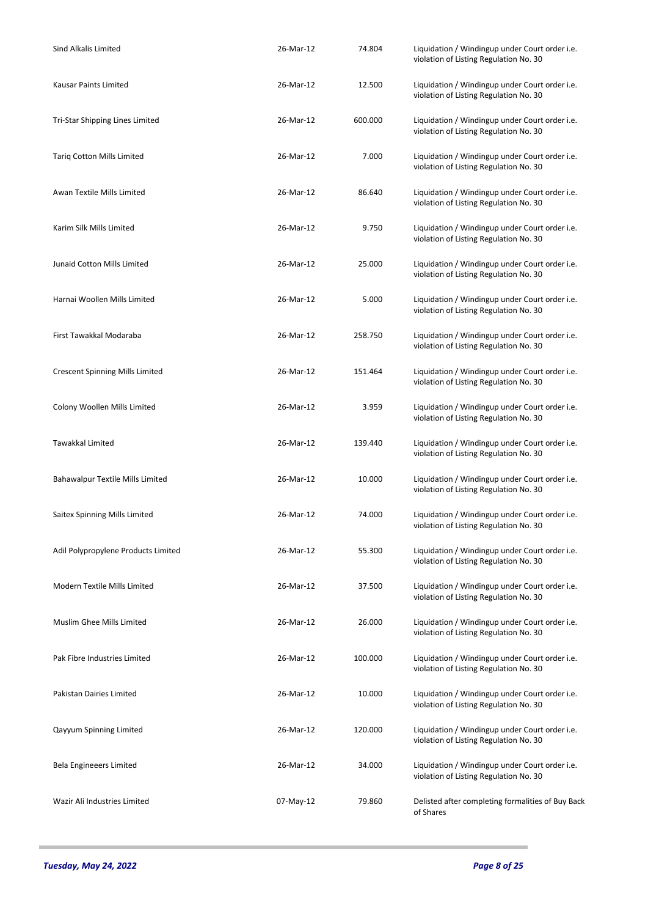| <b>Sind Alkalis Limited</b>            | 26-Mar-12 | 74.804  | Liquidation / Windingup under Court order i.e.<br>violation of Listing Regulation No. 30 |
|----------------------------------------|-----------|---------|------------------------------------------------------------------------------------------|
| Kausar Paints Limited                  | 26-Mar-12 | 12.500  | Liquidation / Windingup under Court order i.e.<br>violation of Listing Regulation No. 30 |
| Tri-Star Shipping Lines Limited        | 26-Mar-12 | 600.000 | Liquidation / Windingup under Court order i.e.<br>violation of Listing Regulation No. 30 |
| <b>Tariq Cotton Mills Limited</b>      | 26-Mar-12 | 7.000   | Liquidation / Windingup under Court order i.e.<br>violation of Listing Regulation No. 30 |
| Awan Textile Mills Limited             | 26-Mar-12 | 86.640  | Liquidation / Windingup under Court order i.e.<br>violation of Listing Regulation No. 30 |
| Karim Silk Mills Limited               | 26-Mar-12 | 9.750   | Liquidation / Windingup under Court order i.e.<br>violation of Listing Regulation No. 30 |
| Junaid Cotton Mills Limited            | 26-Mar-12 | 25.000  | Liquidation / Windingup under Court order i.e.<br>violation of Listing Regulation No. 30 |
| Harnai Woollen Mills Limited           | 26-Mar-12 | 5.000   | Liquidation / Windingup under Court order i.e.<br>violation of Listing Regulation No. 30 |
| First Tawakkal Modaraba                | 26-Mar-12 | 258.750 | Liquidation / Windingup under Court order i.e.<br>violation of Listing Regulation No. 30 |
| <b>Crescent Spinning Mills Limited</b> | 26-Mar-12 | 151.464 | Liquidation / Windingup under Court order i.e.<br>violation of Listing Regulation No. 30 |
| Colony Woollen Mills Limited           | 26-Mar-12 | 3.959   | Liquidation / Windingup under Court order i.e.<br>violation of Listing Regulation No. 30 |
| Tawakkal Limited                       | 26-Mar-12 | 139.440 | Liquidation / Windingup under Court order i.e.<br>violation of Listing Regulation No. 30 |
| Bahawalpur Textile Mills Limited       | 26-Mar-12 | 10.000  | Liquidation / Windingup under Court order i.e.<br>violation of Listing Regulation No. 30 |
| Saitex Spinning Mills Limited          | 26-Mar-12 | 74.000  | Liquidation / Windingup under Court order i.e.<br>violation of Listing Regulation No. 30 |
| Adil Polypropylene Products Limited    | 26-Mar-12 | 55.300  | Liquidation / Windingup under Court order i.e.<br>violation of Listing Regulation No. 30 |
| Modern Textile Mills Limited           | 26-Mar-12 | 37.500  | Liquidation / Windingup under Court order i.e.<br>violation of Listing Regulation No. 30 |
| Muslim Ghee Mills Limited              | 26-Mar-12 | 26.000  | Liquidation / Windingup under Court order i.e.<br>violation of Listing Regulation No. 30 |
| Pak Fibre Industries Limited           | 26-Mar-12 | 100.000 | Liquidation / Windingup under Court order i.e.<br>violation of Listing Regulation No. 30 |
| Pakistan Dairies Limited               | 26-Mar-12 | 10.000  | Liquidation / Windingup under Court order i.e.<br>violation of Listing Regulation No. 30 |
| Qayyum Spinning Limited                | 26-Mar-12 | 120.000 | Liquidation / Windingup under Court order i.e.<br>violation of Listing Regulation No. 30 |
| Bela Engineeers Limited                | 26-Mar-12 | 34.000  | Liquidation / Windingup under Court order i.e.<br>violation of Listing Regulation No. 30 |
| Wazir Ali Industries Limited           | 07-May-12 | 79.860  | Delisted after completing formalities of Buy Back<br>of Shares                           |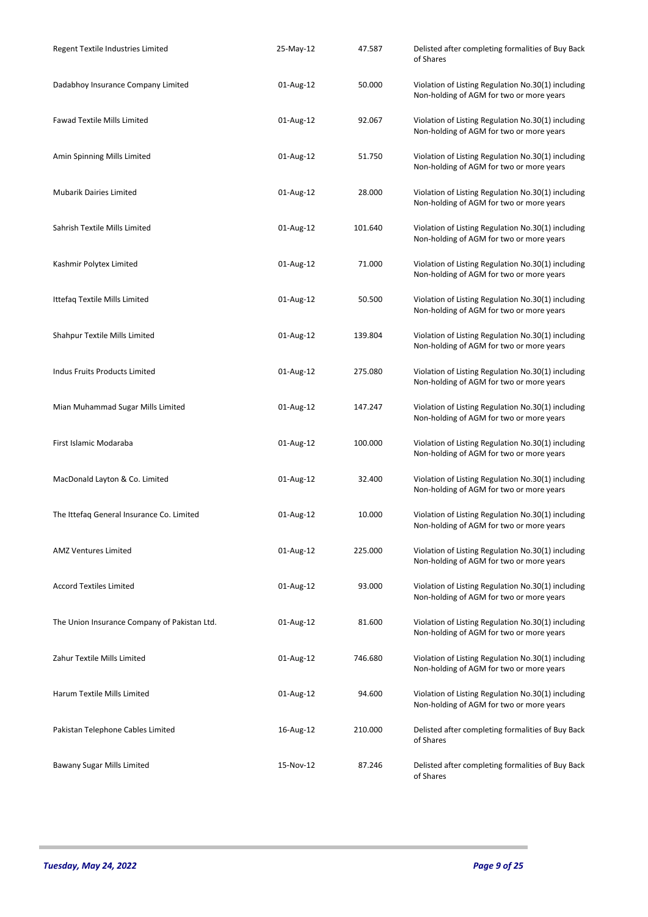| Regent Textile Industries Limited            | 25-May-12 | 47.587  | Delisted after completing formalities of Buy Back<br>of Shares                                 |
|----------------------------------------------|-----------|---------|------------------------------------------------------------------------------------------------|
| Dadabhoy Insurance Company Limited           | 01-Aug-12 | 50.000  | Violation of Listing Regulation No.30(1) including<br>Non-holding of AGM for two or more years |
| <b>Fawad Textile Mills Limited</b>           | 01-Aug-12 | 92.067  | Violation of Listing Regulation No.30(1) including<br>Non-holding of AGM for two or more years |
| Amin Spinning Mills Limited                  | 01-Aug-12 | 51.750  | Violation of Listing Regulation No.30(1) including<br>Non-holding of AGM for two or more years |
| <b>Mubarik Dairies Limited</b>               | 01-Aug-12 | 28.000  | Violation of Listing Regulation No.30(1) including<br>Non-holding of AGM for two or more years |
| Sahrish Textile Mills Limited                | 01-Aug-12 | 101.640 | Violation of Listing Regulation No.30(1) including<br>Non-holding of AGM for two or more years |
| Kashmir Polytex Limited                      | 01-Aug-12 | 71.000  | Violation of Listing Regulation No.30(1) including<br>Non-holding of AGM for two or more years |
| Ittefaq Textile Mills Limited                | 01-Aug-12 | 50.500  | Violation of Listing Regulation No.30(1) including<br>Non-holding of AGM for two or more years |
| Shahpur Textile Mills Limited                | 01-Aug-12 | 139.804 | Violation of Listing Regulation No.30(1) including<br>Non-holding of AGM for two or more years |
| Indus Fruits Products Limited                | 01-Aug-12 | 275.080 | Violation of Listing Regulation No.30(1) including<br>Non-holding of AGM for two or more years |
| Mian Muhammad Sugar Mills Limited            | 01-Aug-12 | 147.247 | Violation of Listing Regulation No.30(1) including<br>Non-holding of AGM for two or more years |
| First Islamic Modaraba                       | 01-Aug-12 | 100.000 | Violation of Listing Regulation No.30(1) including<br>Non-holding of AGM for two or more years |
| MacDonald Layton & Co. Limited               | 01-Aug-12 | 32.400  | Violation of Listing Regulation No.30(1) including<br>Non-holding of AGM for two or more years |
| The Ittefaq General Insurance Co. Limited    | 01-Aug-12 | 10.000  | Violation of Listing Regulation No.30(1) including<br>Non-holding of AGM for two or more years |
| <b>AMZ Ventures Limited</b>                  | 01-Aug-12 | 225.000 | Violation of Listing Regulation No.30(1) including<br>Non-holding of AGM for two or more years |
| <b>Accord Textiles Limited</b>               | 01-Aug-12 | 93.000  | Violation of Listing Regulation No.30(1) including<br>Non-holding of AGM for two or more years |
| The Union Insurance Company of Pakistan Ltd. | 01-Aug-12 | 81.600  | Violation of Listing Regulation No.30(1) including<br>Non-holding of AGM for two or more years |
| Zahur Textile Mills Limited                  | 01-Aug-12 | 746.680 | Violation of Listing Regulation No.30(1) including<br>Non-holding of AGM for two or more years |
| Harum Textile Mills Limited                  | 01-Aug-12 | 94.600  | Violation of Listing Regulation No.30(1) including<br>Non-holding of AGM for two or more years |
| Pakistan Telephone Cables Limited            | 16-Aug-12 | 210.000 | Delisted after completing formalities of Buy Back<br>of Shares                                 |
| Bawany Sugar Mills Limited                   | 15-Nov-12 | 87.246  | Delisted after completing formalities of Buy Back<br>of Shares                                 |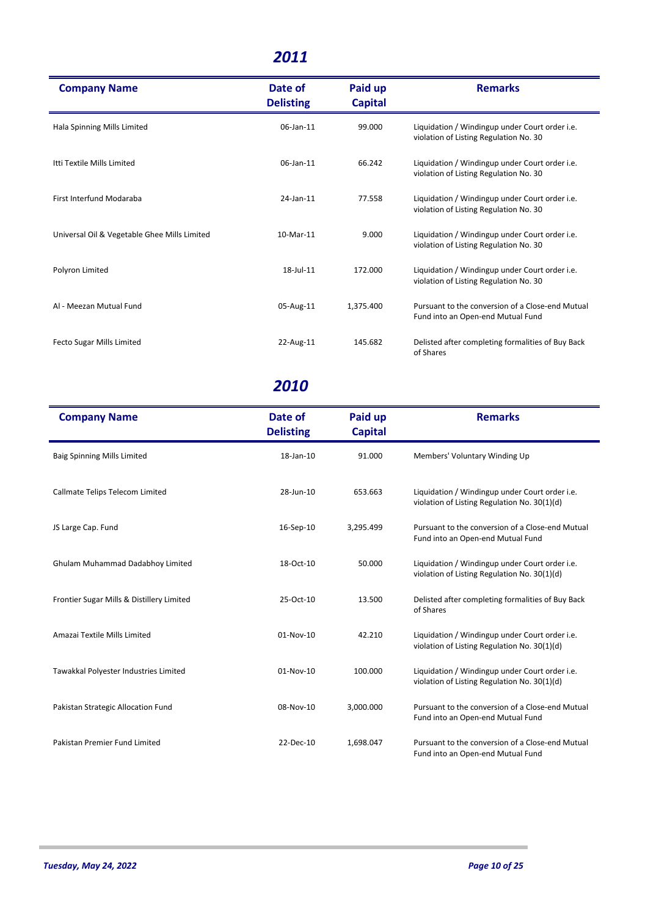| <b>Company Name</b>                          | Date of<br><b>Delisting</b> | Paid up<br><b>Capital</b> | <b>Remarks</b>                                                                           |
|----------------------------------------------|-----------------------------|---------------------------|------------------------------------------------------------------------------------------|
| Hala Spinning Mills Limited                  | 06-Jan-11                   | 99.000                    | Liquidation / Windingup under Court order i.e.<br>violation of Listing Regulation No. 30 |
| Itti Textile Mills Limited                   | 06-Jan-11                   | 66.242                    | Liquidation / Windingup under Court order i.e.<br>violation of Listing Regulation No. 30 |
| First Interfund Modaraba                     | 24-Jan-11                   | 77.558                    | Liquidation / Windingup under Court order i.e.<br>violation of Listing Regulation No. 30 |
| Universal Oil & Vegetable Ghee Mills Limited | 10-Mar-11                   | 9.000                     | Liquidation / Windingup under Court order i.e.<br>violation of Listing Regulation No. 30 |
| Polyron Limited                              | $18$ -Jul- $11$             | 172.000                   | Liquidation / Windingup under Court order i.e.<br>violation of Listing Regulation No. 30 |
| Al - Meezan Mutual Fund                      | 05-Aug-11                   | 1,375.400                 | Pursuant to the conversion of a Close-end Mutual<br>Fund into an Open-end Mutual Fund    |
| <b>Fecto Sugar Mills Limited</b>             | 22-Aug-11                   | 145.682                   | Delisted after completing formalities of Buy Back<br>of Shares                           |

| <b>Company Name</b>                       | Date of<br><b>Delisting</b> | Paid up<br><b>Capital</b> | <b>Remarks</b>                                                                                 |
|-------------------------------------------|-----------------------------|---------------------------|------------------------------------------------------------------------------------------------|
| <b>Baig Spinning Mills Limited</b>        | 18-Jan-10                   | 91.000                    | Members' Voluntary Winding Up                                                                  |
| Callmate Telips Telecom Limited           | 28-Jun-10                   | 653.663                   | Liquidation / Windingup under Court order i.e.<br>violation of Listing Regulation No. 30(1)(d) |
| JS Large Cap. Fund                        | 16-Sep-10                   | 3,295.499                 | Pursuant to the conversion of a Close-end Mutual<br>Fund into an Open-end Mutual Fund          |
| Ghulam Muhammad Dadabhoy Limited          | 18-Oct-10                   | 50.000                    | Liquidation / Windingup under Court order i.e.<br>violation of Listing Regulation No. 30(1)(d) |
| Frontier Sugar Mills & Distillery Limited | 25-Oct-10                   | 13.500                    | Delisted after completing formalities of Buy Back<br>of Shares                                 |
| Amazai Textile Mills Limited              | $01-Nov-10$                 | 42.210                    | Liquidation / Windingup under Court order i.e.<br>violation of Listing Regulation No. 30(1)(d) |
| Tawakkal Polyester Industries Limited     | 01-Nov-10                   | 100.000                   | Liquidation / Windingup under Court order i.e.<br>violation of Listing Regulation No. 30(1)(d) |
| Pakistan Strategic Allocation Fund        | 08-Nov-10                   | 3,000.000                 | Pursuant to the conversion of a Close-end Mutual<br>Fund into an Open-end Mutual Fund          |
| Pakistan Premier Fund Limited             | 22-Dec-10                   | 1,698.047                 | Pursuant to the conversion of a Close-end Mutual<br>Fund into an Open-end Mutual Fund          |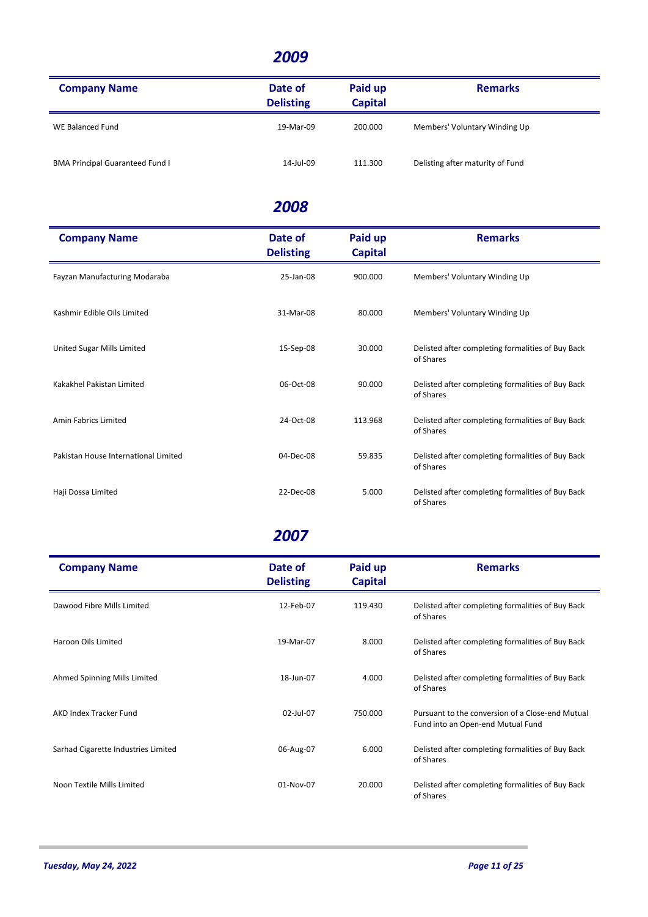| <b>Company Name</b>                    | Date of<br><b>Delisting</b> | Paid up<br><b>Capital</b> | <b>Remarks</b>                   |
|----------------------------------------|-----------------------------|---------------------------|----------------------------------|
| WE Balanced Fund                       | 19-Mar-09                   | 200.000                   | Members' Voluntary Winding Up    |
| <b>BMA Principal Guaranteed Fund I</b> | 14-Jul-09                   | 111.300                   | Delisting after maturity of Fund |

#### *2008*

| <b>Company Name</b>                  | Date of<br><b>Delisting</b> | Paid up<br><b>Capital</b> | <b>Remarks</b>                                                 |
|--------------------------------------|-----------------------------|---------------------------|----------------------------------------------------------------|
| Fayzan Manufacturing Modaraba        | 25-Jan-08                   | 900.000                   | Members' Voluntary Winding Up                                  |
| Kashmir Edible Oils Limited          | 31-Mar-08                   | 80.000                    | Members' Voluntary Winding Up                                  |
| United Sugar Mills Limited           | 15-Sep-08                   | 30.000                    | Delisted after completing formalities of Buy Back<br>of Shares |
| Kakakhel Pakistan Limited            | 06-Oct-08                   | 90.000                    | Delisted after completing formalities of Buy Back<br>of Shares |
| Amin Fabrics Limited                 | 24-Oct-08                   | 113.968                   | Delisted after completing formalities of Buy Back<br>of Shares |
| Pakistan House International Limited | 04-Dec-08                   | 59.835                    | Delisted after completing formalities of Buy Back<br>of Shares |
| Haji Dossa Limited                   | 22-Dec-08                   | 5.000                     | Delisted after completing formalities of Buy Back<br>of Shares |

| <b>Company Name</b>                 | Date of<br><b>Delisting</b> | Paid up<br><b>Capital</b> | <b>Remarks</b>                                                                        |
|-------------------------------------|-----------------------------|---------------------------|---------------------------------------------------------------------------------------|
| Dawood Fibre Mills Limited          | 12-Feb-07                   | 119.430                   | Delisted after completing formalities of Buy Back<br>of Shares                        |
| Haroon Oils Limited                 | 19-Mar-07                   | 8.000                     | Delisted after completing formalities of Buy Back<br>of Shares                        |
| Ahmed Spinning Mills Limited        | 18-Jun-07                   | 4.000                     | Delisted after completing formalities of Buy Back<br>of Shares                        |
| AKD Index Tracker Fund              | 02-Jul-07                   | 750.000                   | Pursuant to the conversion of a Close-end Mutual<br>Fund into an Open-end Mutual Fund |
| Sarhad Cigarette Industries Limited | 06-Aug-07                   | 6.000                     | Delisted after completing formalities of Buy Back<br>of Shares                        |
| Noon Textile Mills Limited          | 01-Nov-07                   | 20.000                    | Delisted after completing formalities of Buy Back<br>of Shares                        |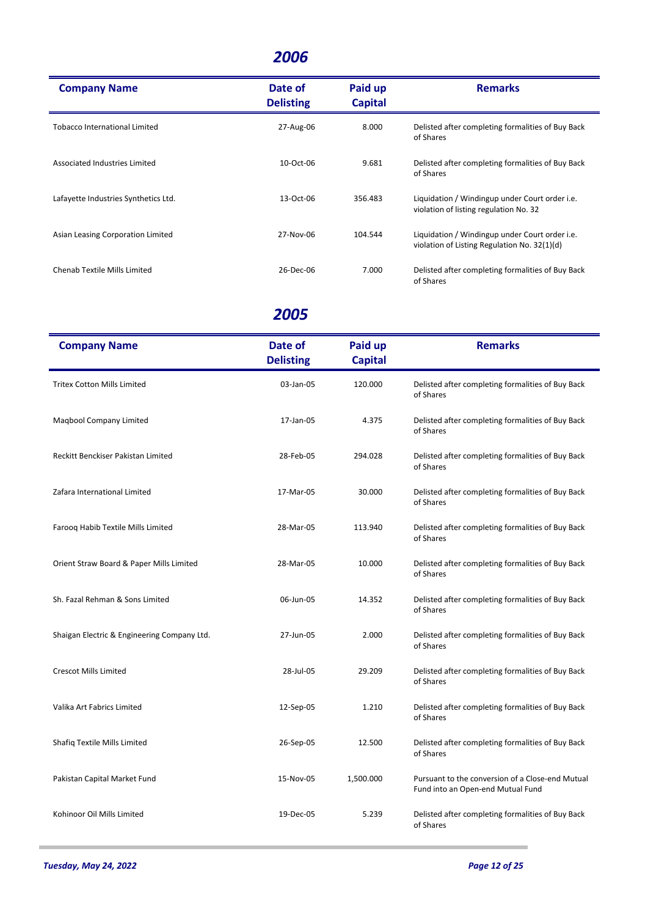| <b>Company Name</b>                  | Date of          | Paid up        | <b>Remarks</b>                                                                                 |
|--------------------------------------|------------------|----------------|------------------------------------------------------------------------------------------------|
|                                      | <b>Delisting</b> | <b>Capital</b> |                                                                                                |
| Tobacco International Limited        | 27-Aug-06        | 8.000          | Delisted after completing formalities of Buy Back<br>of Shares                                 |
| Associated Industries Limited        | 10-Oct-06        | 9.681          | Delisted after completing formalities of Buy Back<br>of Shares                                 |
| Lafayette Industries Synthetics Ltd. | 13-Oct-06        | 356.483        | Liquidation / Windingup under Court order i.e.<br>violation of listing regulation No. 32       |
| Asian Leasing Corporation Limited    | 27-Nov-06        | 104.544        | Liquidation / Windingup under Court order i.e.<br>violation of Listing Regulation No. 32(1)(d) |
| Chenab Textile Mills Limited         | 26-Dec-06        | 7.000          | Delisted after completing formalities of Buy Back<br>of Shares                                 |

| <b>Company Name</b>                         | Date of<br><b>Delisting</b> | Paid up<br><b>Capital</b> | <b>Remarks</b>                                                                        |
|---------------------------------------------|-----------------------------|---------------------------|---------------------------------------------------------------------------------------|
| <b>Tritex Cotton Mills Limited</b>          | 03-Jan-05                   | 120.000                   | Delisted after completing formalities of Buy Back<br>of Shares                        |
| Maqbool Company Limited                     | 17-Jan-05                   | 4.375                     | Delisted after completing formalities of Buy Back<br>of Shares                        |
| Reckitt Benckiser Pakistan Limited          | 28-Feb-05                   | 294.028                   | Delisted after completing formalities of Buy Back<br>of Shares                        |
| Zafara International Limited                | 17-Mar-05                   | 30.000                    | Delisted after completing formalities of Buy Back<br>of Shares                        |
| Faroog Habib Textile Mills Limited          | 28-Mar-05                   | 113.940                   | Delisted after completing formalities of Buy Back<br>of Shares                        |
| Orient Straw Board & Paper Mills Limited    | 28-Mar-05                   | 10.000                    | Delisted after completing formalities of Buy Back<br>of Shares                        |
| Sh. Fazal Rehman & Sons Limited             | 06-Jun-05                   | 14.352                    | Delisted after completing formalities of Buy Back<br>of Shares                        |
| Shaigan Electric & Engineering Company Ltd. | 27-Jun-05                   | 2.000                     | Delisted after completing formalities of Buy Back<br>of Shares                        |
| <b>Crescot Mills Limited</b>                | 28-Jul-05                   | 29.209                    | Delisted after completing formalities of Buy Back<br>of Shares                        |
| Valika Art Fabrics Limited                  | 12-Sep-05                   | 1.210                     | Delisted after completing formalities of Buy Back<br>of Shares                        |
| Shafiq Textile Mills Limited                | 26-Sep-05                   | 12.500                    | Delisted after completing formalities of Buy Back<br>of Shares                        |
| Pakistan Capital Market Fund                | 15-Nov-05                   | 1,500.000                 | Pursuant to the conversion of a Close-end Mutual<br>Fund into an Open-end Mutual Fund |
| Kohinoor Oil Mills Limited                  | 19-Dec-05                   | 5.239                     | Delisted after completing formalities of Buy Back<br>of Shares                        |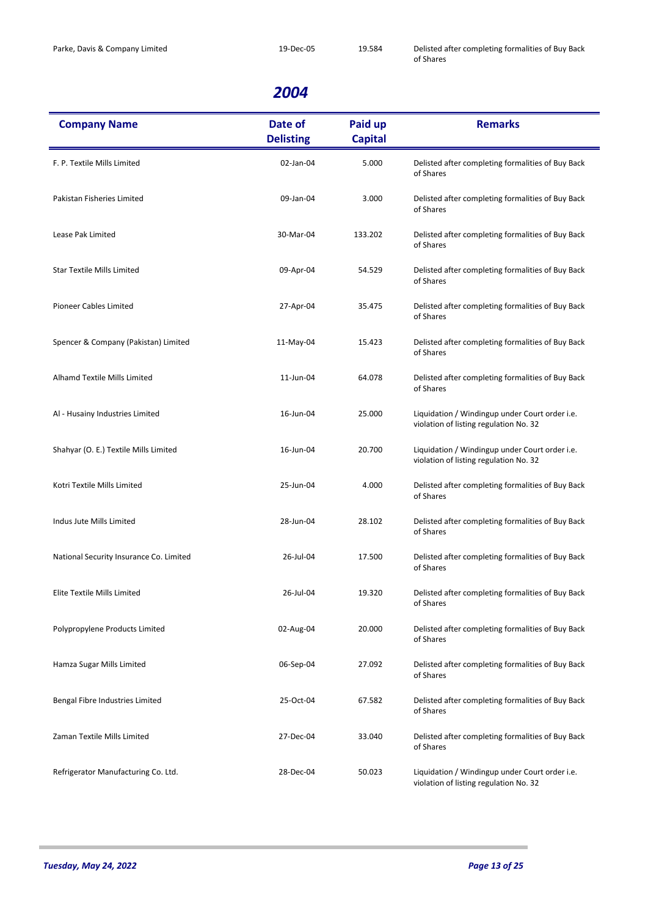| <b>Company Name</b>                     | Date of<br><b>Delisting</b> | Paid up<br><b>Capital</b> | <b>Remarks</b>                                                                           |
|-----------------------------------------|-----------------------------|---------------------------|------------------------------------------------------------------------------------------|
| F. P. Textile Mills Limited             | 02-Jan-04                   | 5.000                     | Delisted after completing formalities of Buy Back<br>of Shares                           |
| Pakistan Fisheries Limited              | 09-Jan-04                   | 3.000                     | Delisted after completing formalities of Buy Back<br>of Shares                           |
| Lease Pak Limited                       | 30-Mar-04                   | 133.202                   | Delisted after completing formalities of Buy Back<br>of Shares                           |
| <b>Star Textile Mills Limited</b>       | 09-Apr-04                   | 54.529                    | Delisted after completing formalities of Buy Back<br>of Shares                           |
| <b>Pioneer Cables Limited</b>           | 27-Apr-04                   | 35.475                    | Delisted after completing formalities of Buy Back<br>of Shares                           |
| Spencer & Company (Pakistan) Limited    | 11-May-04                   | 15.423                    | Delisted after completing formalities of Buy Back<br>of Shares                           |
| Alhamd Textile Mills Limited            | 11-Jun-04                   | 64.078                    | Delisted after completing formalities of Buy Back<br>of Shares                           |
| Al - Husainy Industries Limited         | 16-Jun-04                   | 25.000                    | Liquidation / Windingup under Court order i.e.<br>violation of listing regulation No. 32 |
| Shahyar (O. E.) Textile Mills Limited   | 16-Jun-04                   | 20.700                    | Liquidation / Windingup under Court order i.e.<br>violation of listing regulation No. 32 |
| Kotri Textile Mills Limited             | 25-Jun-04                   | 4.000                     | Delisted after completing formalities of Buy Back<br>of Shares                           |
| Indus Jute Mills Limited                | 28-Jun-04                   | 28.102                    | Delisted after completing formalities of Buy Back<br>of Shares                           |
| National Security Insurance Co. Limited | 26-Jul-04                   | 17.500                    | Delisted after completing formalities of Buy Back<br>of Shares                           |
| Elite Textile Mills Limited             | 26-Jul-04                   | 19.320                    | Delisted after completing formalities of Buy Back<br>of Shares                           |
| Polypropylene Products Limited          | 02-Aug-04                   | 20.000                    | Delisted after completing formalities of Buy Back<br>of Shares                           |
| Hamza Sugar Mills Limited               | 06-Sep-04                   | 27.092                    | Delisted after completing formalities of Buy Back<br>of Shares                           |
| Bengal Fibre Industries Limited         | 25-Oct-04                   | 67.582                    | Delisted after completing formalities of Buy Back<br>of Shares                           |
| Zaman Textile Mills Limited             | 27-Dec-04                   | 33.040                    | Delisted after completing formalities of Buy Back<br>of Shares                           |
| Refrigerator Manufacturing Co. Ltd.     | 28-Dec-04                   | 50.023                    | Liquidation / Windingup under Court order i.e.<br>violation of listing regulation No. 32 |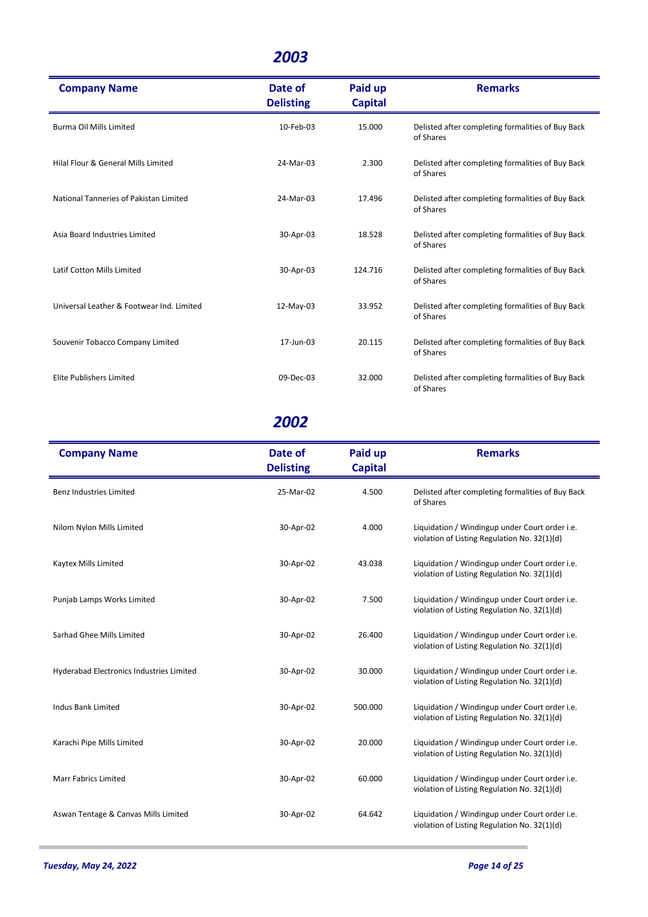| <b>Company Name</b>                       | Date of<br><b>Delisting</b> | Paid up<br><b>Capital</b> | <b>Remarks</b>                                                 |
|-------------------------------------------|-----------------------------|---------------------------|----------------------------------------------------------------|
| <b>Burma Oil Mills Limited</b>            | 10-Feb-03                   | 15.000                    | Delisted after completing formalities of Buy Back<br>of Shares |
| Hilal Flour & General Mills Limited       | 24-Mar-03                   | 2.300                     | Delisted after completing formalities of Buy Back<br>of Shares |
| National Tanneries of Pakistan Limited    | 24-Mar-03                   | 17.496                    | Delisted after completing formalities of Buy Back<br>of Shares |
| Asia Board Industries Limited             | 30-Apr-03                   | 18.528                    | Delisted after completing formalities of Buy Back<br>of Shares |
| Latif Cotton Mills Limited                | 30-Apr-03                   | 124.716                   | Delisted after completing formalities of Buy Back<br>of Shares |
| Universal Leather & Footwear Ind. Limited | 12-May-03                   | 33.952                    | Delisted after completing formalities of Buy Back<br>of Shares |
| Souvenir Tobacco Company Limited          | 17-Jun-03                   | 20.115                    | Delisted after completing formalities of Buy Back<br>of Shares |
| Elite Publishers Limited                  | 09-Dec-03                   | 32.000                    | Delisted after completing formalities of Buy Back<br>of Shares |

| <b>Company Name</b>                      | Date of<br><b>Delisting</b> | Paid up<br><b>Capital</b> | <b>Remarks</b>                                                                                 |
|------------------------------------------|-----------------------------|---------------------------|------------------------------------------------------------------------------------------------|
| <b>Benz Industries Limited</b>           | 25-Mar-02                   | 4.500                     | Delisted after completing formalities of Buy Back<br>of Shares                                 |
| Nilom Nylon Mills Limited                | 30-Apr-02                   | 4.000                     | Liquidation / Windingup under Court order i.e.<br>violation of Listing Regulation No. 32(1)(d) |
| Kaytex Mills Limited                     | 30-Apr-02                   | 43.038                    | Liquidation / Windingup under Court order i.e.<br>violation of Listing Regulation No. 32(1)(d) |
| Punjab Lamps Works Limited               | 30-Apr-02                   | 7.500                     | Liquidation / Windingup under Court order i.e.<br>violation of Listing Regulation No. 32(1)(d) |
| Sarhad Ghee Mills Limited                | 30-Apr-02                   | 26.400                    | Liquidation / Windingup under Court order i.e.<br>violation of Listing Regulation No. 32(1)(d) |
| Hyderabad Electronics Industries Limited | 30-Apr-02                   | 30.000                    | Liquidation / Windingup under Court order i.e.<br>violation of Listing Regulation No. 32(1)(d) |
| <b>Indus Bank Limited</b>                | 30-Apr-02                   | 500.000                   | Liquidation / Windingup under Court order i.e.<br>violation of Listing Regulation No. 32(1)(d) |
| Karachi Pipe Mills Limited               | 30-Apr-02                   | 20.000                    | Liquidation / Windingup under Court order i.e.<br>violation of Listing Regulation No. 32(1)(d) |
| <b>Marr Fabrics Limited</b>              | 30-Apr-02                   | 60.000                    | Liquidation / Windingup under Court order i.e.<br>violation of Listing Regulation No. 32(1)(d) |
| Aswan Tentage & Canvas Mills Limited     | 30-Apr-02                   | 64.642                    | Liquidation / Windingup under Court order i.e.<br>violation of Listing Regulation No. 32(1)(d) |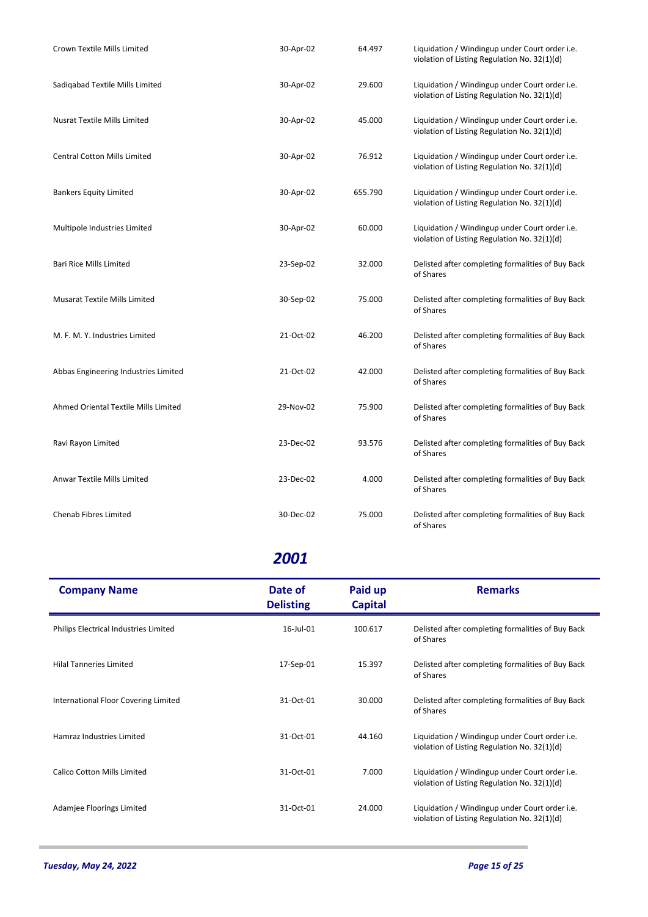| Crown Textile Mills Limited          | 30-Apr-02 | 64.497  | Liquidation / Windingup under Court order i.e.<br>violation of Listing Regulation No. 32(1)(d) |
|--------------------------------------|-----------|---------|------------------------------------------------------------------------------------------------|
| Sadigabad Textile Mills Limited      | 30-Apr-02 | 29.600  | Liquidation / Windingup under Court order i.e.<br>violation of Listing Regulation No. 32(1)(d) |
| <b>Nusrat Textile Mills Limited</b>  | 30-Apr-02 | 45.000  | Liquidation / Windingup under Court order i.e.<br>violation of Listing Regulation No. 32(1)(d) |
| <b>Central Cotton Mills Limited</b>  | 30-Apr-02 | 76.912  | Liquidation / Windingup under Court order i.e.<br>violation of Listing Regulation No. 32(1)(d) |
| <b>Bankers Equity Limited</b>        | 30-Apr-02 | 655.790 | Liquidation / Windingup under Court order i.e.<br>violation of Listing Regulation No. 32(1)(d) |
| Multipole Industries Limited         | 30-Apr-02 | 60.000  | Liquidation / Windingup under Court order i.e.<br>violation of Listing Regulation No. 32(1)(d) |
| <b>Bari Rice Mills Limited</b>       | 23-Sep-02 | 32.000  | Delisted after completing formalities of Buy Back<br>of Shares                                 |
| <b>Musarat Textile Mills Limited</b> | 30-Sep-02 | 75.000  | Delisted after completing formalities of Buy Back<br>of Shares                                 |
| M. F. M. Y. Industries Limited       | 21-Oct-02 | 46.200  | Delisted after completing formalities of Buy Back<br>of Shares                                 |
| Abbas Engineering Industries Limited | 21-Oct-02 | 42.000  | Delisted after completing formalities of Buy Back<br>of Shares                                 |
| Ahmed Oriental Textile Mills Limited | 29-Nov-02 | 75.900  | Delisted after completing formalities of Buy Back<br>of Shares                                 |
| Ravi Rayon Limited                   | 23-Dec-02 | 93.576  | Delisted after completing formalities of Buy Back<br>of Shares                                 |
| Anwar Textile Mills Limited          | 23-Dec-02 | 4.000   | Delisted after completing formalities of Buy Back<br>of Shares                                 |
| <b>Chenab Fibres Limited</b>         | 30-Dec-02 | 75.000  | Delisted after completing formalities of Buy Back<br>of Shares                                 |

| <b>Company Name</b>                   | Date of<br><b>Delisting</b> | Paid up<br><b>Capital</b> | <b>Remarks</b>                                                                                 |
|---------------------------------------|-----------------------------|---------------------------|------------------------------------------------------------------------------------------------|
| Philips Electrical Industries Limited | 16-Jul-01                   | 100.617                   | Delisted after completing formalities of Buy Back<br>of Shares                                 |
| <b>Hilal Tanneries Limited</b>        | 17-Sep-01                   | 15.397                    | Delisted after completing formalities of Buy Back<br>of Shares                                 |
| International Floor Covering Limited  | 31-Oct-01                   | 30.000                    | Delisted after completing formalities of Buy Back<br>of Shares                                 |
| Hamraz Industries Limited             | 31-Oct-01                   | 44.160                    | Liquidation / Windingup under Court order i.e.<br>violation of Listing Regulation No. 32(1)(d) |
| Calico Cotton Mills Limited           | 31-Oct-01                   | 7.000                     | Liquidation / Windingup under Court order i.e.<br>violation of Listing Regulation No. 32(1)(d) |
| Adamjee Floorings Limited             | 31-Oct-01                   | 24.000                    | Liquidation / Windingup under Court order i.e.<br>violation of Listing Regulation No. 32(1)(d) |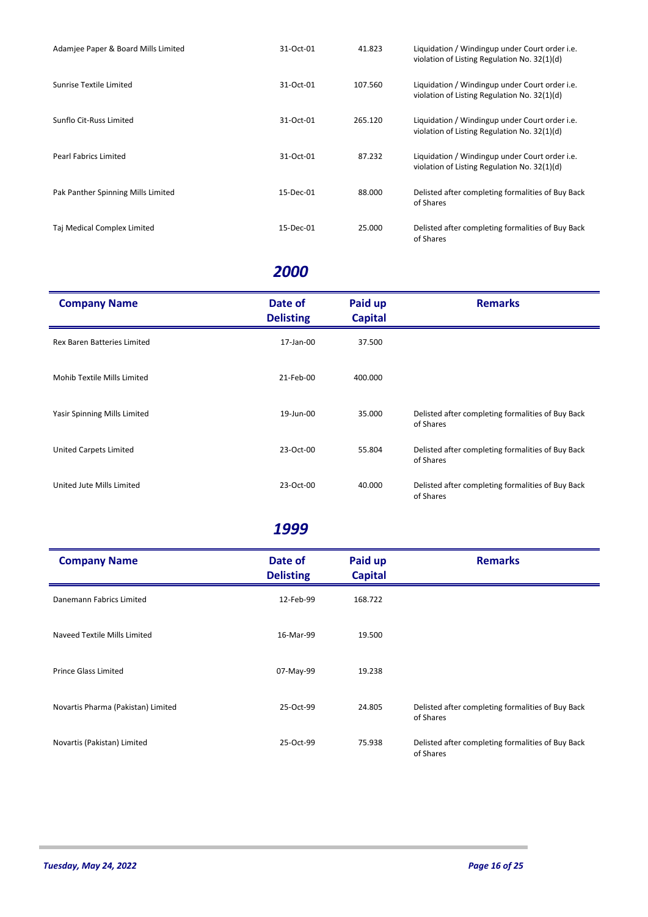| Adamjee Paper & Board Mills Limited | 31-Oct-01 | 41.823  | Liquidation / Windingup under Court order <i>i.e.</i><br>violation of Listing Regulation No. 32(1)(d) |
|-------------------------------------|-----------|---------|-------------------------------------------------------------------------------------------------------|
| Sunrise Textile Limited             | 31-Oct-01 | 107.560 | Liquidation / Windingup under Court order <i>i.e.</i><br>violation of Listing Regulation No. 32(1)(d) |
| Sunflo Cit-Russ Limited             | 31-Oct-01 | 265.120 | Liquidation / Windingup under Court order <i>i.e.</i><br>violation of Listing Regulation No. 32(1)(d) |
| <b>Pearl Fabrics Limited</b>        | 31-Oct-01 | 87.232  | Liquidation / Windingup under Court order <i>i.e.</i><br>violation of Listing Regulation No. 32(1)(d) |
| Pak Panther Spinning Mills Limited  | 15-Dec-01 | 88.000  | Delisted after completing formalities of Buy Back<br>of Shares                                        |
| Taj Medical Complex Limited         | 15-Dec-01 | 25.000  | Delisted after completing formalities of Buy Back<br>of Shares                                        |

| <b>Company Name</b>                | Date of<br><b>Delisting</b> | Paid up<br><b>Capital</b> | <b>Remarks</b>                                                 |
|------------------------------------|-----------------------------|---------------------------|----------------------------------------------------------------|
| <b>Rex Baren Batteries Limited</b> | 17-Jan-00                   | 37.500                    |                                                                |
| Mohib Textile Mills Limited        | 21-Feb-00                   | 400.000                   |                                                                |
| Yasir Spinning Mills Limited       | 19-Jun-00                   | 35.000                    | Delisted after completing formalities of Buy Back<br>of Shares |
| United Carpets Limited             | 23-Oct-00                   | 55.804                    | Delisted after completing formalities of Buy Back<br>of Shares |
| United Jute Mills Limited          | 23-Oct-00                   | 40.000                    | Delisted after completing formalities of Buy Back<br>of Shares |

| <b>Company Name</b>                | Date of<br><b>Delisting</b> | Paid up<br><b>Capital</b> | <b>Remarks</b>                                                 |
|------------------------------------|-----------------------------|---------------------------|----------------------------------------------------------------|
| Danemann Fabrics Limited           | 12-Feb-99                   | 168.722                   |                                                                |
| Naveed Textile Mills Limited       | 16-Mar-99                   | 19.500                    |                                                                |
| Prince Glass Limited               | 07-May-99                   | 19.238                    |                                                                |
| Novartis Pharma (Pakistan) Limited | 25-Oct-99                   | 24.805                    | Delisted after completing formalities of Buy Back<br>of Shares |
| Novartis (Pakistan) Limited        | 25-Oct-99                   | 75.938                    | Delisted after completing formalities of Buy Back<br>of Shares |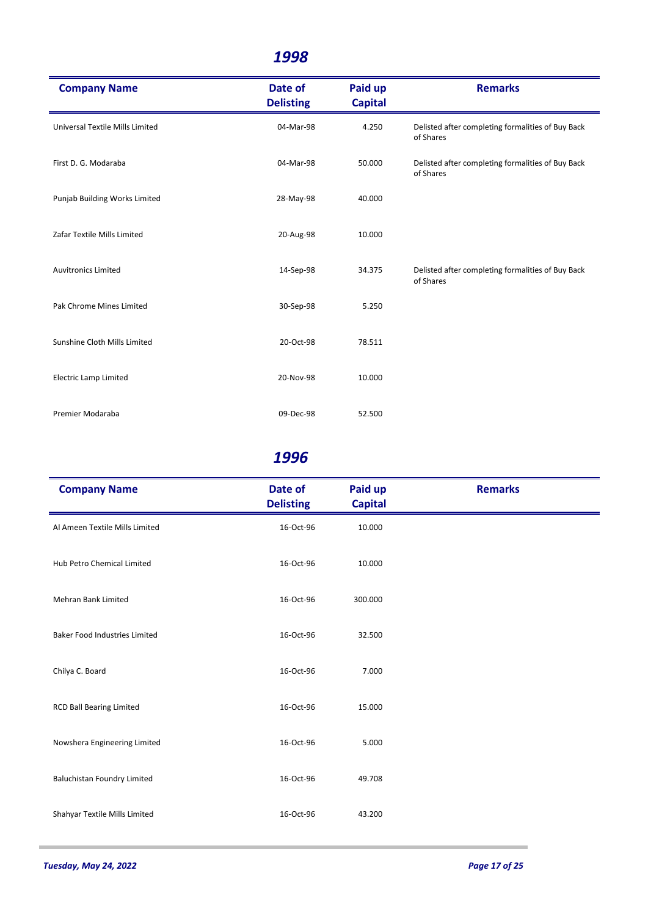| <b>Company Name</b>             | Date of<br><b>Delisting</b> | Paid up<br><b>Capital</b> | <b>Remarks</b>                                                 |
|---------------------------------|-----------------------------|---------------------------|----------------------------------------------------------------|
| Universal Textile Mills Limited | 04-Mar-98                   | 4.250                     | Delisted after completing formalities of Buy Back<br>of Shares |
| First D. G. Modaraba            | 04-Mar-98                   | 50.000                    | Delisted after completing formalities of Buy Back<br>of Shares |
| Punjab Building Works Limited   | 28-May-98                   | 40.000                    |                                                                |
| Zafar Textile Mills Limited     | 20-Aug-98                   | 10.000                    |                                                                |
| <b>Auvitronics Limited</b>      | 14-Sep-98                   | 34.375                    | Delisted after completing formalities of Buy Back<br>of Shares |
| Pak Chrome Mines Limited        | 30-Sep-98                   | 5.250                     |                                                                |
| Sunshine Cloth Mills Limited    | 20-Oct-98                   | 78.511                    |                                                                |
| <b>Electric Lamp Limited</b>    | 20-Nov-98                   | 10.000                    |                                                                |
| Premier Modaraba                | 09-Dec-98                   | 52.500                    |                                                                |

| <b>Company Name</b>                  | Date of<br><b>Delisting</b> | Paid up<br><b>Capital</b> | <b>Remarks</b> |
|--------------------------------------|-----------------------------|---------------------------|----------------|
| Al Ameen Textile Mills Limited       | 16-Oct-96                   | 10.000                    |                |
| Hub Petro Chemical Limited           | 16-Oct-96                   | 10.000                    |                |
| <b>Mehran Bank Limited</b>           | 16-Oct-96                   | 300.000                   |                |
| <b>Baker Food Industries Limited</b> | 16-Oct-96                   | 32.500                    |                |
| Chilya C. Board                      | 16-Oct-96                   | 7.000                     |                |
| <b>RCD Ball Bearing Limited</b>      | 16-Oct-96                   | 15.000                    |                |
| Nowshera Engineering Limited         | 16-Oct-96                   | 5.000                     |                |
| <b>Baluchistan Foundry Limited</b>   | 16-Oct-96                   | 49.708                    |                |
| Shahyar Textile Mills Limited        | 16-Oct-96                   | 43.200                    |                |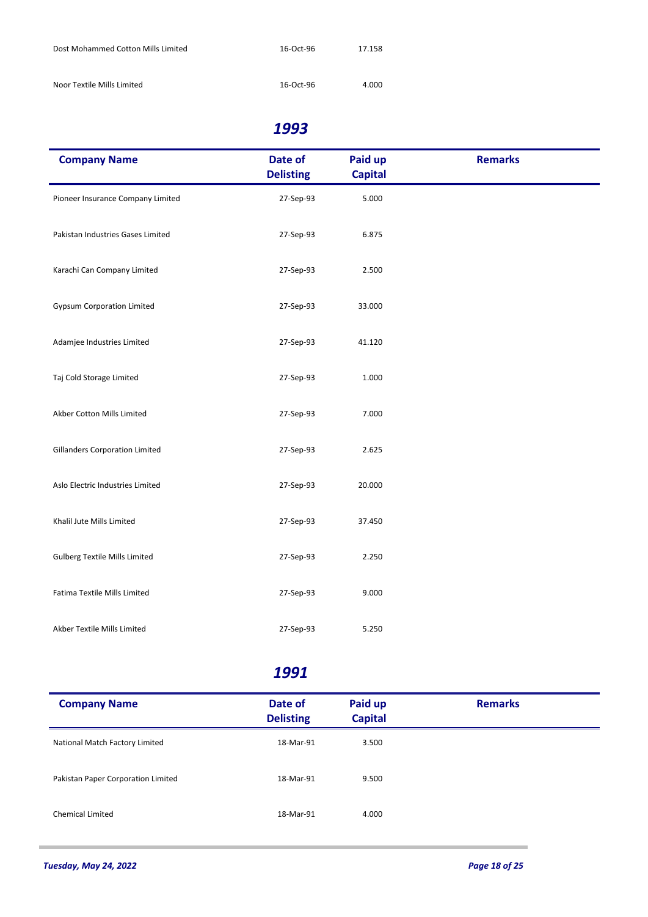| Dost Mohammed Cotton Mills Limited | 16-Oct-96 | 17.158 |
|------------------------------------|-----------|--------|
| Noor Textile Mills Limited         | 16-Oct-96 | 4.000  |

| <b>Company Name</b>                   | Date of<br><b>Delisting</b> | Paid up<br><b>Capital</b> | <b>Remarks</b> |
|---------------------------------------|-----------------------------|---------------------------|----------------|
| Pioneer Insurance Company Limited     | 27-Sep-93                   | 5.000                     |                |
| Pakistan Industries Gases Limited     | 27-Sep-93                   | 6.875                     |                |
| Karachi Can Company Limited           | 27-Sep-93                   | 2.500                     |                |
| <b>Gypsum Corporation Limited</b>     | 27-Sep-93                   | 33.000                    |                |
| Adamjee Industries Limited            | 27-Sep-93                   | 41.120                    |                |
| Taj Cold Storage Limited              | 27-Sep-93                   | 1.000                     |                |
| Akber Cotton Mills Limited            | 27-Sep-93                   | 7.000                     |                |
| <b>Gillanders Corporation Limited</b> | 27-Sep-93                   | 2.625                     |                |
| Aslo Electric Industries Limited      | 27-Sep-93                   | 20.000                    |                |
| Khalil Jute Mills Limited             | 27-Sep-93                   | 37.450                    |                |
| <b>Gulberg Textile Mills Limited</b>  | 27-Sep-93                   | 2.250                     |                |
| Fatima Textile Mills Limited          | 27-Sep-93                   | 9.000                     |                |
| Akber Textile Mills Limited           | 27-Sep-93                   | 5.250                     |                |

| <b>Company Name</b>                | Date of<br><b>Delisting</b> | Paid up<br><b>Capital</b> | <b>Remarks</b> |
|------------------------------------|-----------------------------|---------------------------|----------------|
| National Match Factory Limited     | 18-Mar-91                   | 3.500                     |                |
| Pakistan Paper Corporation Limited | 18-Mar-91                   | 9.500                     |                |
| <b>Chemical Limited</b>            | 18-Mar-91                   | 4.000                     |                |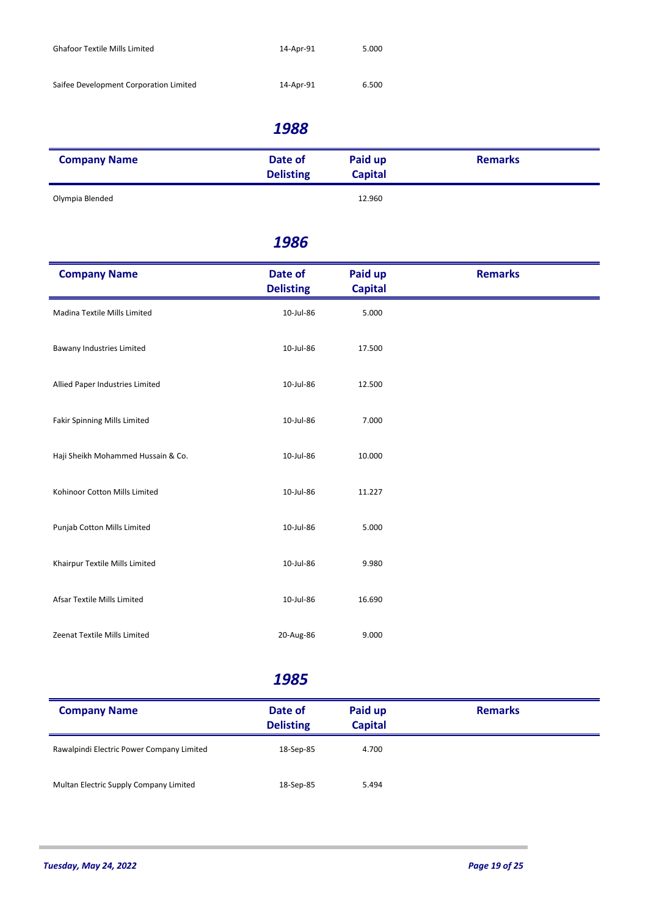| <b>Ghafoor Textile Mills Limited</b>   | 14-Apr-91 | 5.000 |
|----------------------------------------|-----------|-------|
| Saifee Development Corporation Limited | 14-Apr-91 | 6.500 |
|                                        |           |       |

| <b>Company Name</b> | Date of<br><b>Delisting</b> | Paid up<br><b>Capital</b> | <b>Remarks</b> |
|---------------------|-----------------------------|---------------------------|----------------|
| Olympia Blended     |                             | 12.960                    |                |

#### *1986*

| <b>Company Name</b>                | Date of<br><b>Delisting</b> | Paid up<br><b>Capital</b> | <b>Remarks</b> |
|------------------------------------|-----------------------------|---------------------------|----------------|
| Madina Textile Mills Limited       | 10-Jul-86                   | 5.000                     |                |
| Bawany Industries Limited          | 10-Jul-86                   | 17.500                    |                |
| Allied Paper Industries Limited    | 10-Jul-86                   | 12.500                    |                |
| Fakir Spinning Mills Limited       | 10-Jul-86                   | 7.000                     |                |
| Haji Sheikh Mohammed Hussain & Co. | 10-Jul-86                   | 10.000                    |                |
| Kohinoor Cotton Mills Limited      | 10-Jul-86                   | 11.227                    |                |
| Punjab Cotton Mills Limited        | 10-Jul-86                   | 5.000                     |                |
| Khairpur Textile Mills Limited     | 10-Jul-86                   | 9.980                     |                |
| Afsar Textile Mills Limited        | 10-Jul-86                   | 16.690                    |                |
| Zeenat Textile Mills Limited       | 20-Aug-86                   | 9.000                     |                |

| <b>Company Name</b>                       | Date of<br><b>Delisting</b> | Paid up<br><b>Capital</b> | <b>Remarks</b> |  |
|-------------------------------------------|-----------------------------|---------------------------|----------------|--|
| Rawalpindi Electric Power Company Limited | 18-Sep-85                   | 4.700                     |                |  |
| Multan Electric Supply Company Limited    | 18-Sep-85                   | 5.494                     |                |  |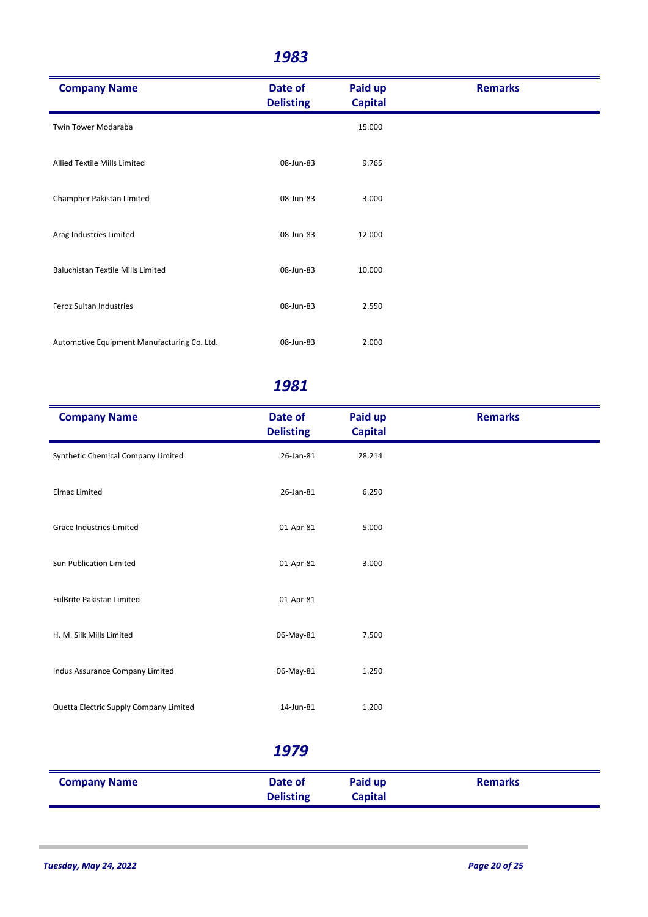| <b>Company Name</b>                         | Date of<br><b>Delisting</b> | Paid up<br><b>Capital</b> | <b>Remarks</b> |
|---------------------------------------------|-----------------------------|---------------------------|----------------|
| Twin Tower Modaraba                         |                             | 15.000                    |                |
| Allied Textile Mills Limited                | 08-Jun-83                   | 9.765                     |                |
| Champher Pakistan Limited                   | 08-Jun-83                   | 3.000                     |                |
| Arag Industries Limited                     | 08-Jun-83                   | 12.000                    |                |
| <b>Baluchistan Textile Mills Limited</b>    | 08-Jun-83                   | 10.000                    |                |
| Feroz Sultan Industries                     | 08-Jun-83                   | 2.550                     |                |
| Automotive Equipment Manufacturing Co. Ltd. | 08-Jun-83                   | 2.000                     |                |

| <b>Company Name</b>                    | Date of<br><b>Delisting</b> | Paid up<br><b>Capital</b> | <b>Remarks</b> |
|----------------------------------------|-----------------------------|---------------------------|----------------|
| Synthetic Chemical Company Limited     | 26-Jan-81                   | 28.214                    |                |
| <b>Elmac Limited</b>                   | 26-Jan-81                   | 6.250                     |                |
| Grace Industries Limited               | 01-Apr-81                   | 5.000                     |                |
| Sun Publication Limited                | 01-Apr-81                   | 3.000                     |                |
| <b>FulBrite Pakistan Limited</b>       | 01-Apr-81                   |                           |                |
| H. M. Silk Mills Limited               | 06-May-81                   | 7.500                     |                |
| Indus Assurance Company Limited        | 06-May-81                   | 1.250                     |                |
| Quetta Electric Supply Company Limited | 14-Jun-81                   | 1.200                     |                |
|                                        | 1979                        |                           |                |
| <b>Company Name</b>                    | Date of<br><b>Delisting</b> | Paid up<br><b>Capital</b> | <b>Remarks</b> |
|                                        |                             |                           |                |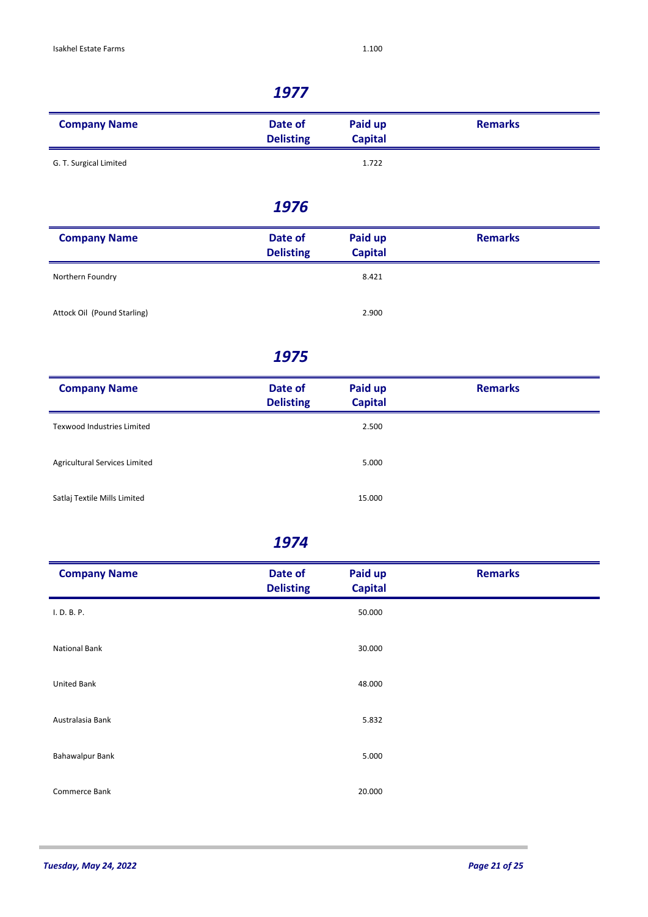| <b>Company Name</b>    | Date of<br><b>Delisting</b> | Paid up<br><b>Capital</b> | <b>Remarks</b> |
|------------------------|-----------------------------|---------------------------|----------------|
| G. T. Surgical Limited |                             | 1.722                     |                |

#### *1976*

| <b>Company Name</b>         | Date of<br><b>Delisting</b> | Paid up<br><b>Capital</b> | <b>Remarks</b> |
|-----------------------------|-----------------------------|---------------------------|----------------|
| Northern Foundry            |                             | 8.421                     |                |
| Attock Oil (Pound Starling) |                             | 2.900                     |                |

#### *1975*

| <b>Company Name</b>               | Date of<br><b>Delisting</b> | Paid up<br><b>Capital</b> | <b>Remarks</b> |
|-----------------------------------|-----------------------------|---------------------------|----------------|
| <b>Texwood Industries Limited</b> |                             | 2.500                     |                |
| Agricultural Services Limited     |                             | 5.000                     |                |
| Satlaj Textile Mills Limited      |                             | 15.000                    |                |

| <b>Company Name</b>    | Date of<br><b>Delisting</b> | Paid up<br><b>Capital</b> | <b>Remarks</b> |
|------------------------|-----------------------------|---------------------------|----------------|
| I. D. B. P.            |                             | 50.000                    |                |
| <b>National Bank</b>   |                             | 30.000                    |                |
| <b>United Bank</b>     |                             | 48.000                    |                |
| Australasia Bank       |                             | 5.832                     |                |
| <b>Bahawalpur Bank</b> |                             | 5.000                     |                |
| Commerce Bank          |                             | 20.000                    |                |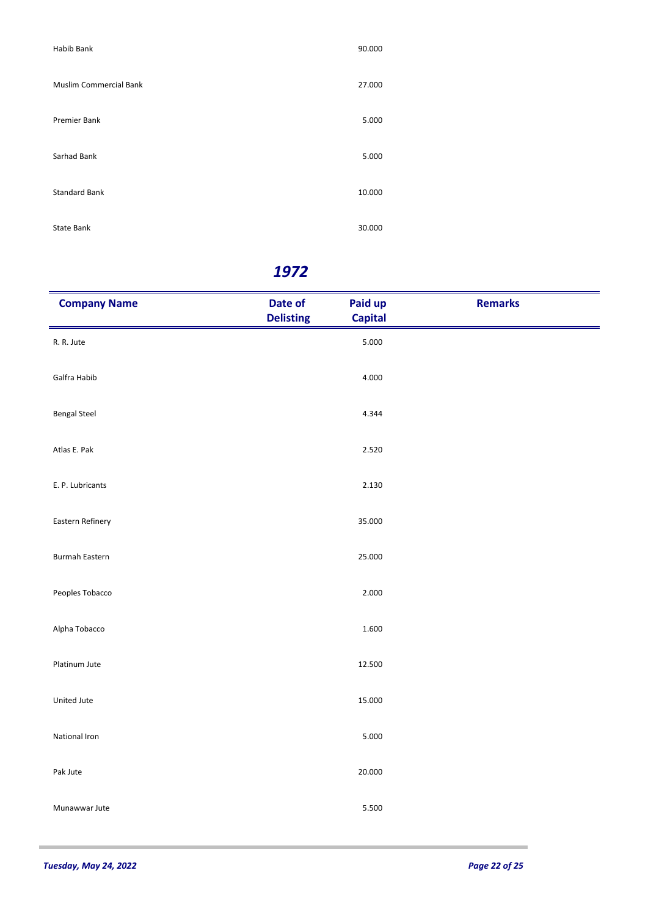| Habib Bank             | 90.000 |
|------------------------|--------|
| Muslim Commercial Bank | 27.000 |
| Premier Bank           | 5.000  |
| Sarhad Bank            | 5.000  |
| <b>Standard Bank</b>   | 10.000 |
| State Bank             | 30.000 |

| <b>Company Name</b>   | Date of<br><b>Delisting</b> | Paid up<br><b>Capital</b> | <b>Remarks</b> |
|-----------------------|-----------------------------|---------------------------|----------------|
| R. R. Jute            |                             | 5.000                     |                |
| Galfra Habib          |                             | 4.000                     |                |
| <b>Bengal Steel</b>   |                             | 4.344                     |                |
| Atlas E. Pak          |                             | 2.520                     |                |
| E. P. Lubricants      |                             | 2.130                     |                |
| Eastern Refinery      |                             | 35.000                    |                |
| <b>Burmah Eastern</b> |                             | 25.000                    |                |
| Peoples Tobacco       |                             | 2.000                     |                |
| Alpha Tobacco         |                             | 1.600                     |                |
| Platinum Jute         |                             | 12.500                    |                |
| United Jute           |                             | 15.000                    |                |
| National Iron         |                             | 5.000                     |                |
| Pak Jute              |                             | 20.000                    |                |
| Munawwar Jute         |                             | 5.500                     |                |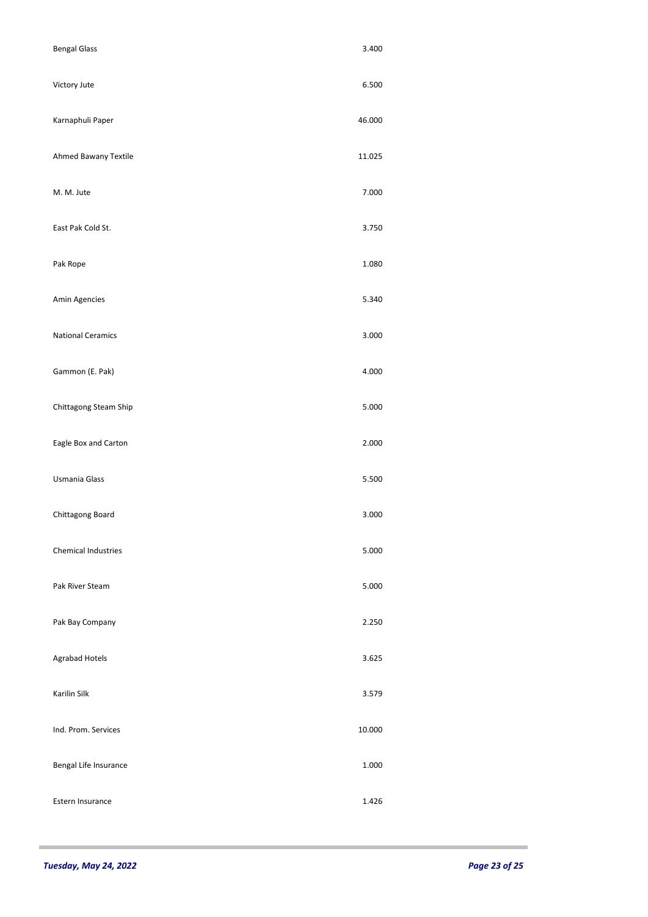| <b>Bengal Glass</b>        | 3.400  |
|----------------------------|--------|
| Victory Jute               | 6.500  |
| Karnaphuli Paper           | 46.000 |
| Ahmed Bawany Textile       | 11.025 |
| M. M. Jute                 | 7.000  |
| East Pak Cold St.          | 3.750  |
| Pak Rope                   | 1.080  |
| Amin Agencies              | 5.340  |
| <b>National Ceramics</b>   | 3.000  |
| Gammon (E. Pak)            | 4.000  |
| Chittagong Steam Ship      | 5.000  |
| Eagle Box and Carton       | 2.000  |
| Usmania Glass              | 5.500  |
| Chittagong Board           | 3.000  |
| <b>Chemical Industries</b> | 5.000  |
| Pak River Steam            | 5.000  |
| Pak Bay Company            | 2.250  |
| Agrabad Hotels             | 3.625  |
| Karilin Silk               | 3.579  |
| Ind. Prom. Services        | 10.000 |
| Bengal Life Insurance      | 1.000  |
| Estern Insurance           | 1.426  |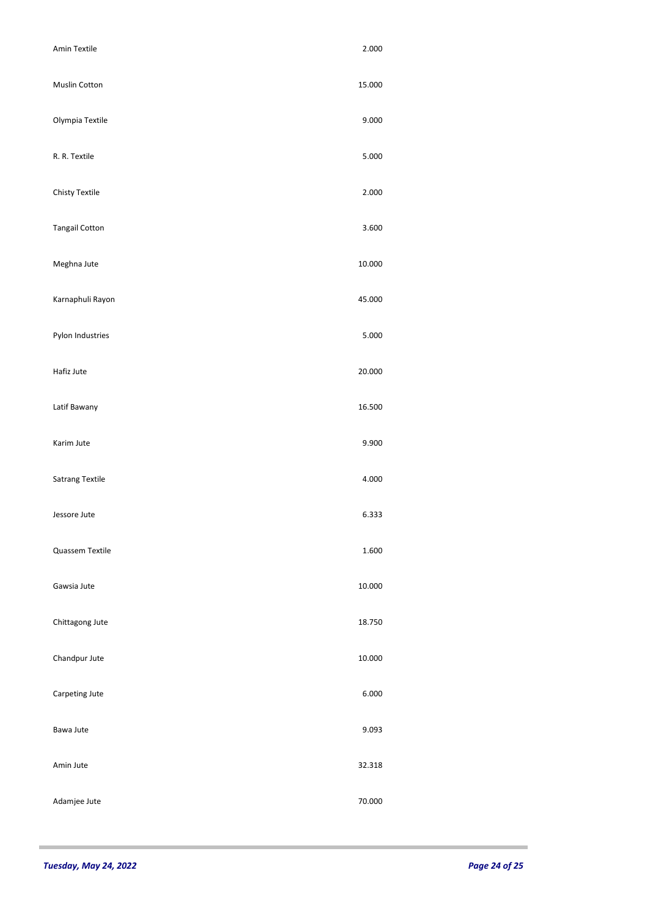| Amin Textile          | 2.000  |  |
|-----------------------|--------|--|
| <b>Muslin Cotton</b>  | 15.000 |  |
| Olympia Textile       | 9.000  |  |
| R. R. Textile         | 5.000  |  |
| Chisty Textile        | 2.000  |  |
| <b>Tangail Cotton</b> | 3.600  |  |
| Meghna Jute           | 10.000 |  |
| Karnaphuli Rayon      | 45.000 |  |
| Pylon Industries      | 5.000  |  |
| Hafiz Jute            | 20.000 |  |
| Latif Bawany          | 16.500 |  |
| Karim Jute            | 9.900  |  |
| Satrang Textile       | 4.000  |  |
| Jessore Jute          | 6.333  |  |
| Quassem Textile       | 1.600  |  |
| Gawsia Jute           | 10.000 |  |
| Chittagong Jute       | 18.750 |  |
| Chandpur Jute         | 10.000 |  |
| Carpeting Jute        | 6.000  |  |
| Bawa Jute             | 9.093  |  |
| Amin Jute             | 32.318 |  |
| Adamjee Jute          | 70.000 |  |